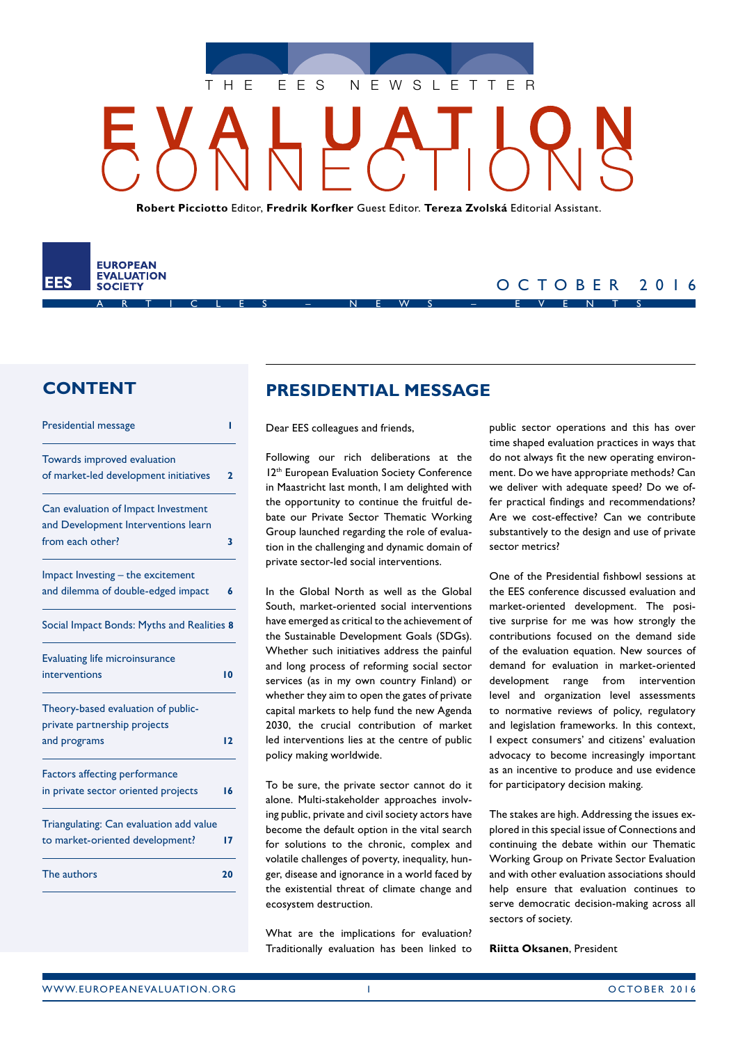

**Robert Picciotto** Editor, **Fredrik Korfker** Guest Editor. **Tereza Zvolská** Editorial Assistant.



# OCTOBER 2016

# **CONTENT**

| Presidential message                                                                           | ı  |
|------------------------------------------------------------------------------------------------|----|
| Towards improved evaluation<br>of market-led development initiatives                           | 2  |
| Can evaluation of Impact Investment<br>and Development Interventions learn<br>from each other? | 3  |
| Impact Investing - the excitement<br>and dilemma of double-edged impact                        | 6  |
| Social Impact Bonds: Myths and Realities 8                                                     |    |
| <b>Evaluating life microinsurance</b><br>interventions                                         | 10 |
| Theory-based evaluation of public-<br>private partnership projects<br>and programs             | 12 |
| Factors affecting performance<br>in private sector oriented projects                           | 16 |
| Triangulating: Can evaluation add value<br>to market-oriented development?                     | 17 |
| The authors                                                                                    | 20 |

# **PRESIDENTIAL MESSAGE**

Dear EES colleagues and friends,

Following our rich deliberations at the 12th European Evaluation Society Conference in Maastricht last month, I am delighted with the opportunity to continue the fruitful debate our Private Sector Thematic Working Group launched regarding the role of evaluation in the challenging and dynamic domain of private sector-led social interventions.

In the Global North as well as the Global South, market-oriented social interventions have emerged as critical to the achievement of the Sustainable Development Goals (SDGs). Whether such initiatives address the painful and long process of reforming social sector services (as in my own country Finland) or whether they aim to open the gates of private capital markets to help fund the new Agenda 2030, the crucial contribution of market led interventions lies at the centre of public policy making worldwide.

To be sure, the private sector cannot do it alone. Multi-stakeholder approaches involving public, private and civil society actors have become the default option in the vital search for solutions to the chronic, complex and volatile challenges of poverty, inequality, hunger, disease and ignorance in a world faced by the existential threat of climate change and ecosystem destruction.

What are the implications for evaluation? Traditionally evaluation has been linked to public sector operations and this has over time shaped evaluation practices in ways that do not always fit the new operating environment. Do we have appropriate methods? Can we deliver with adequate speed? Do we offer practical findings and recommendations? Are we cost-effective? Can we contribute substantively to the design and use of private sector metrics?

One of the Presidential fishbowl sessions at the EES conference discussed evaluation and market-oriented development. The positive surprise for me was how strongly the contributions focused on the demand side of the evaluation equation. New sources of demand for evaluation in market-oriented development range from intervention level and organization level assessments to normative reviews of policy, regulatory and legislation frameworks. In this context, I expect consumers' and citizens' evaluation advocacy to become increasingly important as an incentive to produce and use evidence for participatory decision making.

The stakes are high. Addressing the issues explored in this special issue of Connections and continuing the debate within our Thematic Working Group on Private Sector Evaluation and with other evaluation associations should help ensure that evaluation continues to serve democratic decision-making across all sectors of society.

#### **Riitta Oksanen**, President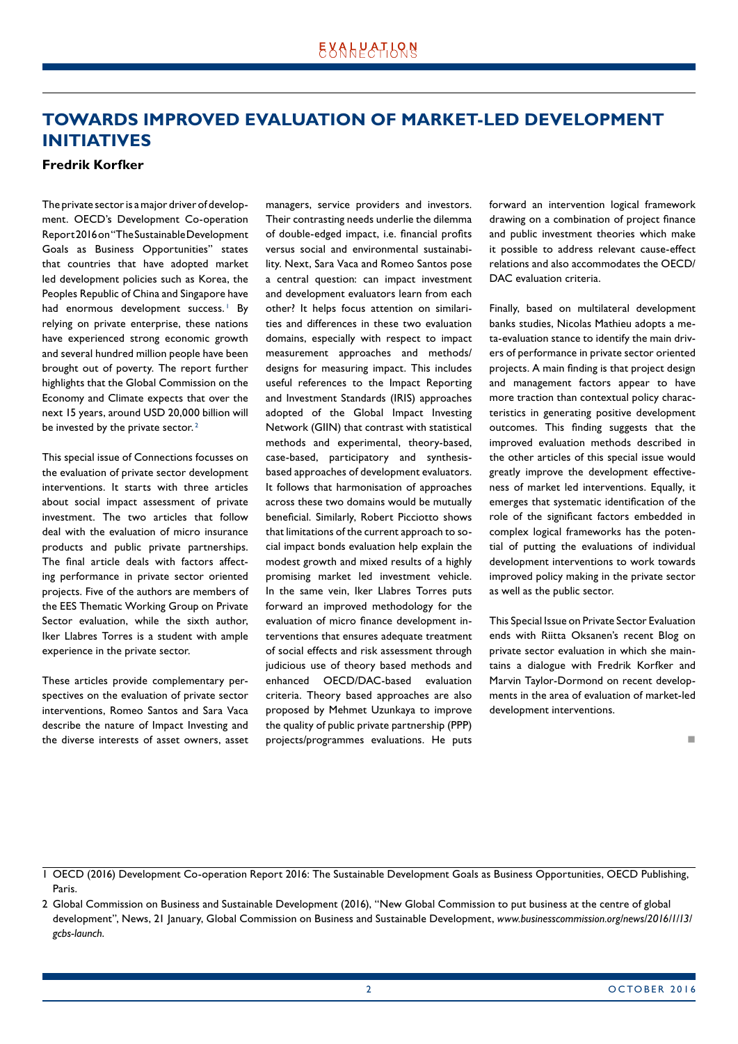# <span id="page-1-0"></span>**TOWARDS IMPROVED EVALUATION OF MARKET-LED DEVELOPMENT INITIATIVES**

#### **Fredrik Korfker**

The private sector is a major driver of development. OECD's Development Co-operation Report 2016 on "The Sustainable Development Goals as Business Opportunities" states that countries that have adopted market led development policies such as Korea, the Peoples Republic of China and Singapore have had enormous development success.<sup>1</sup> By relying on private enterprise, these nations have experienced strong economic growth and several hundred million people have been brought out of poverty. The report further highlights that the Global Commission on the Economy and Climate expects that over the next 15 years, around USD 20,000 billion will be invested by the private sector.<sup>2</sup>

This special issue of Connections focusses on the evaluation of private sector development interventions. It starts with three articles about social impact assessment of private investment. The two articles that follow deal with the evaluation of micro insurance products and public private partnerships. The final article deals with factors affecting performance in private sector oriented projects. Five of the authors are members of the EES Thematic Working Group on Private Sector evaluation, while the sixth author, Iker Llabres Torres is a student with ample experience in the private sector.

These articles provide complementary perspectives on the evaluation of private sector interventions, Romeo Santos and Sara Vaca describe the nature of Impact Investing and the diverse interests of asset owners, asset managers, service providers and investors. Their contrasting needs underlie the dilemma of double-edged impact, i.e. financial profits versus social and environmental sustainability. Next, Sara Vaca and Romeo Santos pose a central question: can impact investment and development evaluators learn from each other? It helps focus attention on similarities and differences in these two evaluation domains, especially with respect to impact measurement approaches and methods/ designs for measuring impact. This includes useful references to the Impact Reporting and Investment Standards (IRIS) approaches adopted of the Global Impact Investing Network (GIIN) that contrast with statistical methods and experimental, theory-based, case-based, participatory and synthesisbased approaches of development evaluators. It follows that harmonisation of approaches across these two domains would be mutually beneficial. Similarly, Robert Picciotto shows that limitations of the current approach to social impact bonds evaluation help explain the modest growth and mixed results of a highly promising market led investment vehicle. In the same vein, Iker Llabres Torres puts forward an improved methodology for the evaluation of micro finance development interventions that ensures adequate treatment of social effects and risk assessment through judicious use of theory based methods and enhanced OECD/DAC-based evaluation criteria. Theory based approaches are also proposed by Mehmet Uzunkaya to improve the quality of public private partnership (PPP) projects/programmes evaluations. He puts

forward an intervention logical framework drawing on a combination of project finance and public investment theories which make it possible to address relevant cause-effect relations and also accommodates the OECD/ DAC evaluation criteria.

Finally, based on multilateral development banks studies, Nicolas Mathieu adopts a meta-evaluation stance to identify the main drivers of performance in private sector oriented projects. A main finding is that project design and management factors appear to have more traction than contextual policy characteristics in generating positive development outcomes. This finding suggests that the improved evaluation methods described in the other articles of this special issue would greatly improve the development effectiveness of market led interventions. Equally, it emerges that systematic identification of the role of the significant factors embedded in complex logical frameworks has the potential of putting the evaluations of individual development interventions to work towards improved policy making in the private sector as well as the public sector.

This Special Issue on Private Sector Evaluation ends with Riitta Oksanen's recent Blog on private sector evaluation in which she maintains a dialogue with Fredrik Korfker and Marvin Taylor-Dormond on recent developments in the area of evaluation of market-led development interventions.

n

1 OECD (2016) Development Co-operation Report 2016: The Sustainable Development Goals as Business Opportunities, OECD Publishing, Paris.

2 Global Commission on Business and Sustainable Development (2016), "New Global Commission to put business at the centre of global development", News, 21 January, Global Commission on Business and Sustainable Development, *www.businesscommission.org/news/2016/1/13/ gcbs-launch*.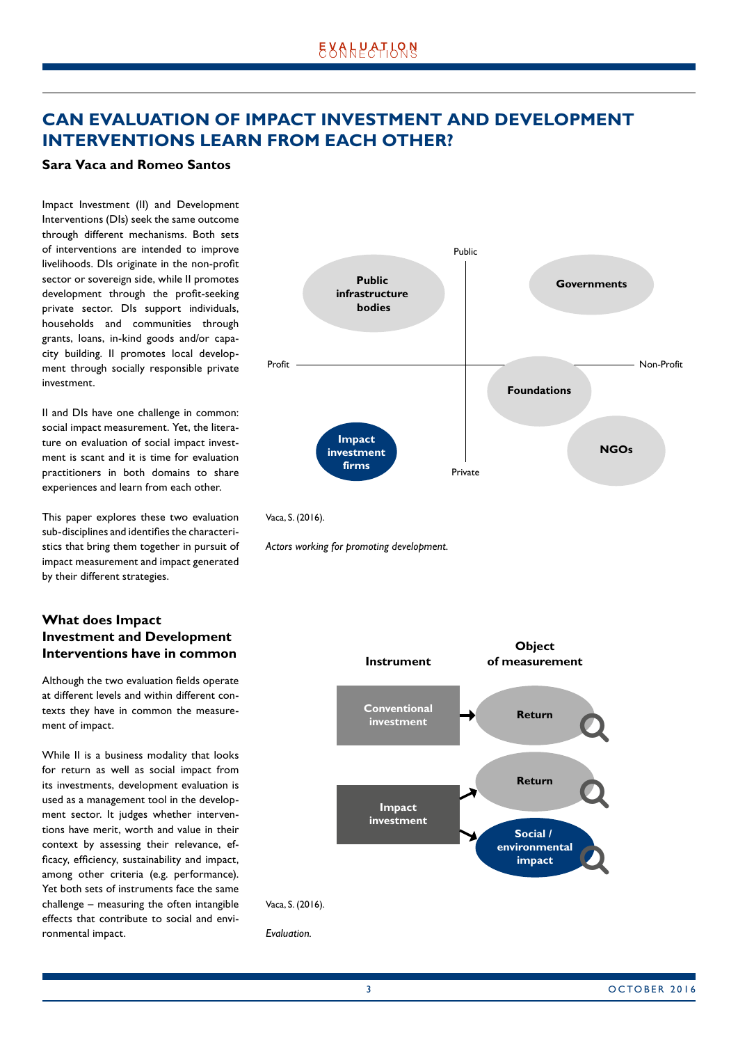# <span id="page-2-0"></span>**CAN EVALUATION OF IMPACT INVESTMENT AND DEVELOPMENT INTERVENTIONS LEARN FROM EACH OTHER?**

#### **Sara Vaca and Romeo Santos**

Impact Investment (II) and Development Interventions (DIs) seek the same outcome through different mechanisms. Both sets of interventions are intended to improve livelihoods. DIs originate in the non-profit sector or sovereign side, while II promotes development through the profit-seeking private sector. DIs support individuals, households and communities through grants, loans, in-kind goods and/or capacity building. II promotes local development through socially responsible private investment.

II and DIs have one challenge in common: social impact measurement. Yet, the literature on evaluation of social impact investment is scant and it is time for evaluation practitioners in both domains to share experiences and learn from each other.

This paper explores these two evaluation sub-disciplines and identifies the characteristics that bring them together in pursuit of impact measurement and impact generated by their different strategies.

### **What does Impact Investment and Development Interventions have in common**

Although the two evaluation fields operate at different levels and within different contexts they have in common the measurement of impact.

While II is a business modality that looks for return as well as social impact from its investments, development evaluation is used as a management tool in the development sector. It judges whether interventions have merit, worth and value in their context by assessing their relevance, efficacy, efficiency, sustainability and impact, among other criteria (e.g. performance). Yet both sets of instruments face the same challenge – measuring the often intangible effects that contribute to social and environmental impact.



Vaca, S. (2016).

*Actors working for promoting development.*





*Evaluation.*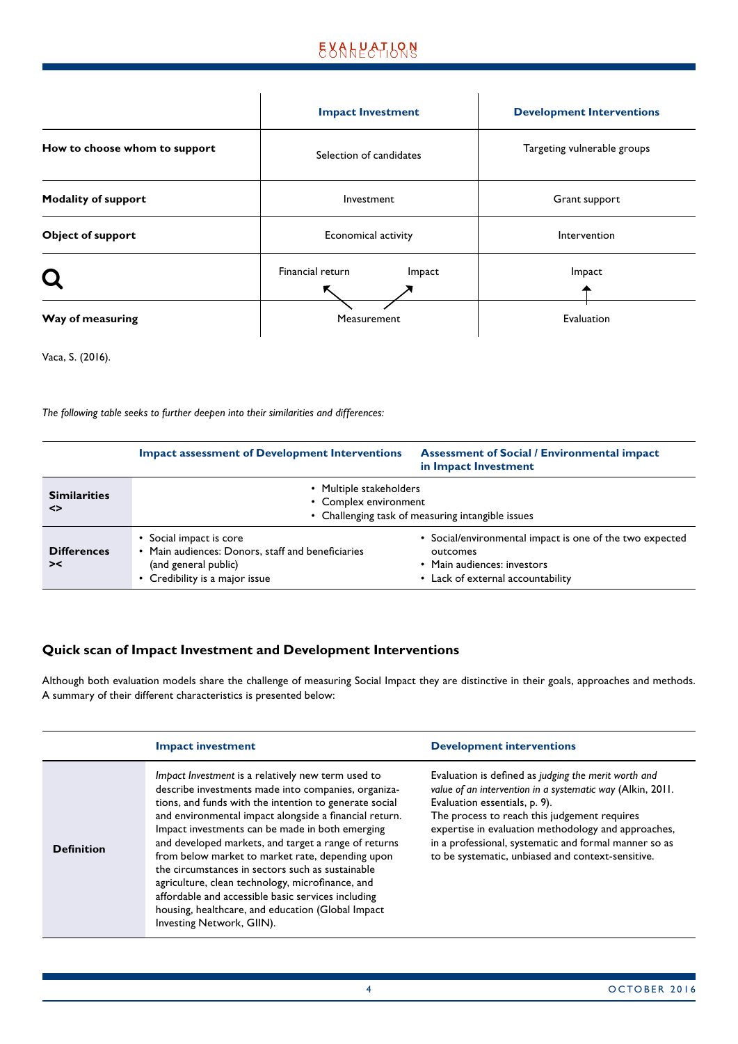# **EXAHLATIONS**

|                               | <b>Impact Investment</b>   | <b>Development Interventions</b> |  |
|-------------------------------|----------------------------|----------------------------------|--|
| How to choose whom to support | Selection of candidates    | Targeting vulnerable groups      |  |
| <b>Modality of support</b>    | Investment                 | Grant support                    |  |
| <b>Object of support</b>      | Economical activity        | Intervention                     |  |
|                               | Financial return<br>Impact | Impact                           |  |
| Way of measuring              | Measurement                | Evaluation                       |  |

Vaca, S. (2016).

*The following table seeks to further deepen into their similarities and differences:*

|                           | <b>Impact assessment of Development Interventions</b>                                                                                  | <b>Assessment of Social / Environmental impact</b><br>in Impact Investment                                                               |
|---------------------------|----------------------------------------------------------------------------------------------------------------------------------------|------------------------------------------------------------------------------------------------------------------------------------------|
| <b>Similarities</b><br>≺> | • Multiple stakeholders<br>• Complex environment                                                                                       | • Challenging task of measuring intangible issues                                                                                        |
| <b>Differences</b><br>> < | • Social impact is core<br>• Main audiences: Donors, staff and beneficiaries<br>(and general public)<br>• Credibility is a major issue | • Social/environmental impact is one of the two expected<br>outcomes<br>• Main audiences: investors<br>• Lack of external accountability |

### **Quick scan of Impact Investment and Development Interventions**

Although both evaluation models share the challenge of measuring Social Impact they are distinctive in their goals, approaches and methods. A summary of their different characteristics is presented below:

|                   | <b>Impact investment</b>                                                                                                                                                                                                                                                                                                                                                                                                                                                                                                                                                                                                                     | <b>Development interventions</b>                                                                                                                                                                                                                                                                                                                                         |
|-------------------|----------------------------------------------------------------------------------------------------------------------------------------------------------------------------------------------------------------------------------------------------------------------------------------------------------------------------------------------------------------------------------------------------------------------------------------------------------------------------------------------------------------------------------------------------------------------------------------------------------------------------------------------|--------------------------------------------------------------------------------------------------------------------------------------------------------------------------------------------------------------------------------------------------------------------------------------------------------------------------------------------------------------------------|
| <b>Definition</b> | Impact Investment is a relatively new term used to<br>describe investments made into companies, organiza-<br>tions, and funds with the intention to generate social<br>and environmental impact alongside a financial return.<br>Impact investments can be made in both emerging<br>and developed markets, and target a range of returns<br>from below market to market rate, depending upon<br>the circumstances in sectors such as sustainable<br>agriculture, clean technology, microfinance, and<br>affordable and accessible basic services including<br>housing, healthcare, and education (Global Impact<br>Investing Network, GIIN). | Evaluation is defined as judging the merit worth and<br>value of an intervention in a systematic way (Alkin, 2011.<br>Evaluation essentials, p. 9).<br>The process to reach this judgement requires<br>expertise in evaluation methodology and approaches,<br>in a professional, systematic and formal manner so as<br>to be systematic, unbiased and context-sensitive. |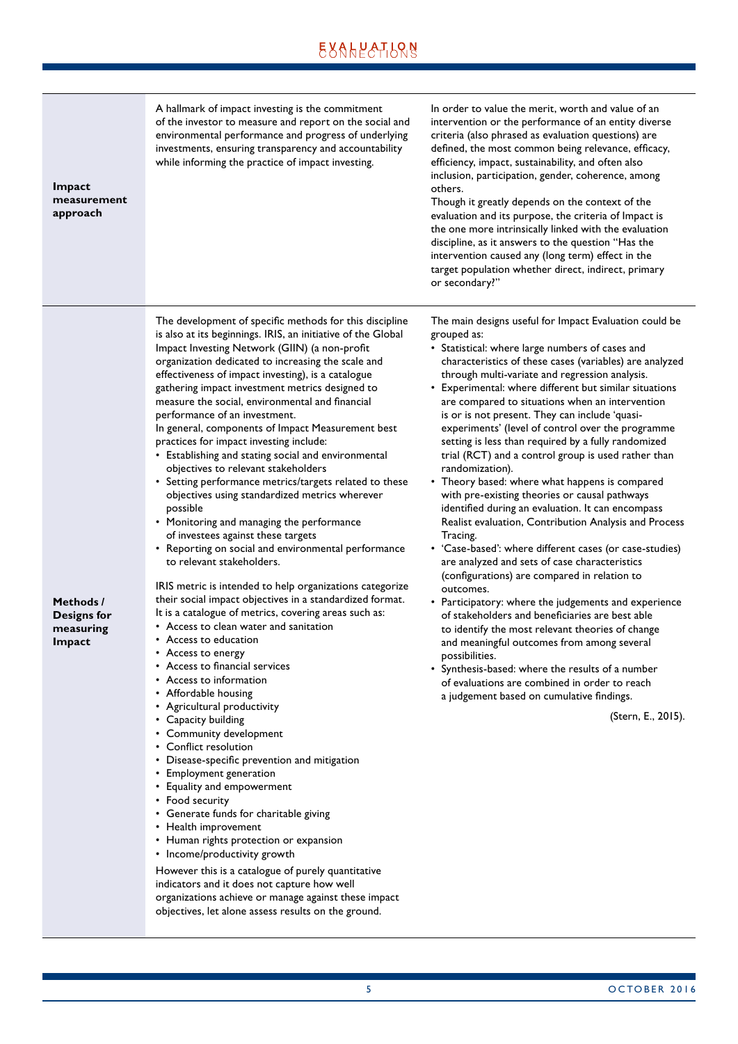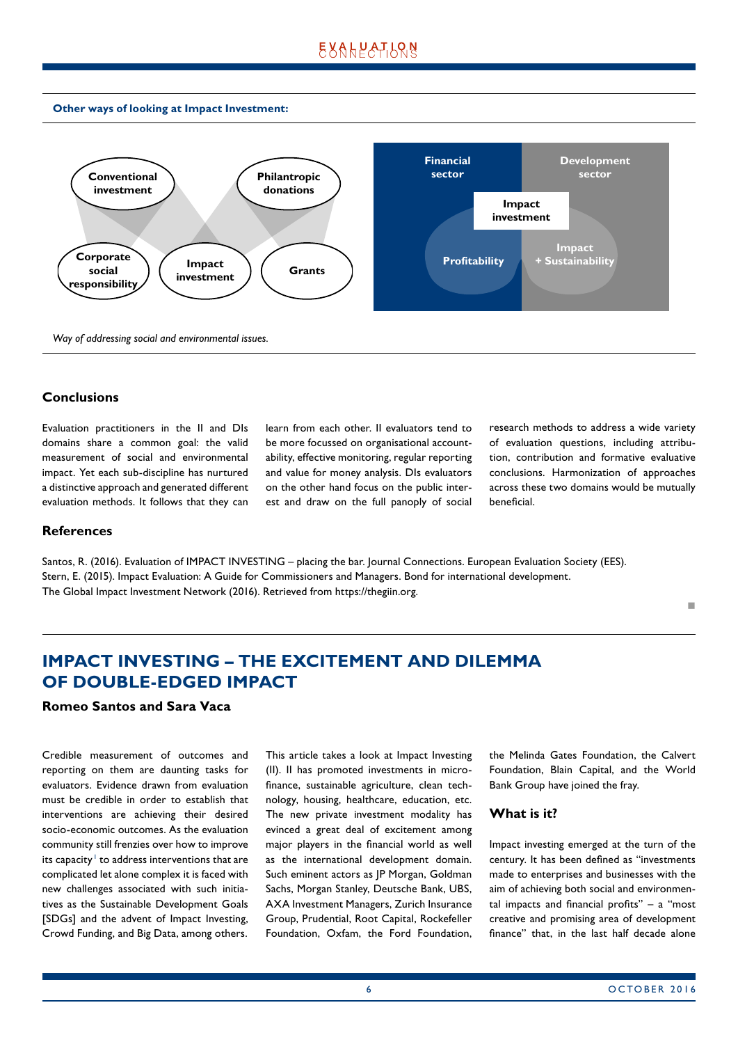#### <span id="page-5-0"></span>**Other ways of looking at Impact Investment:**



*Way of addressing social and environmental issues.*

#### **Conclusions**

Evaluation practitioners in the II and DIs domains share a common goal: the valid measurement of social and environmental impact. Yet each sub-discipline has nurtured a distinctive approach and generated different evaluation methods. It follows that they can learn from each other. II evaluators tend to be more focussed on organisational accountability, effective monitoring, regular reporting and value for money analysis. DIs evaluators on the other hand focus on the public interest and draw on the full panoply of social research methods to address a wide variety of evaluation questions, including attribution, contribution and formative evaluative conclusions. Harmonization of approaches across these two domains would be mutually beneficial.

#### **References**

Santos, R. (2016). Evaluation of IMPACT INVESTING – placing the bar. Journal Connections. European Evaluation Society (EES). Stern, E. (2015). Impact Evaluation: A Guide for Commissioners and Managers. Bond for international development. The Global Impact Investment Network (2016). Retrieved from https://thegiin.org.

**IMPACT INVESTING – THE EXCITEMENT AND DILEMMA OF DOUBLE-EDGED IMPACT**

#### **Romeo Santos and Sara Vaca**

Credible measurement of outcomes and reporting on them are daunting tasks for evaluators. Evidence drawn from evaluation must be credible in order to establish that interventions are achieving their desired socio-economic outcomes. As the evaluation community still frenzies over how to improve its capacity $\perp$  to address interventions that are complicated let alone complex it is faced with new challenges associated with such initiatives as the Sustainable Development Goals [SDGs] and the advent of Impact Investing, Crowd Funding, and Big Data, among others.

This article takes a look at Impact Investing (II). II has promoted investments in microfinance, sustainable agriculture, clean technology, housing, healthcare, education, etc. The new private investment modality has evinced a great deal of excitement among major players in the financial world as well as the international development domain. Such eminent actors as JP Morgan, Goldman Sachs, Morgan Stanley, Deutsche Bank, UBS, AXA Investment Managers, Zurich Insurance Group, Prudential, Root Capital, Rockefeller Foundation, Oxfam, the Ford Foundation,

the Melinda Gates Foundation, the Calvert Foundation, Blain Capital, and the World Bank Group have joined the fray.

#### **What is it?**

Impact investing emerged at the turn of the century. It has been defined as "investments made to enterprises and businesses with the aim of achieving both social and environmental impacts and financial profits"  $-$  a "most creative and promising area of development finance" that, in the last half decade alone

n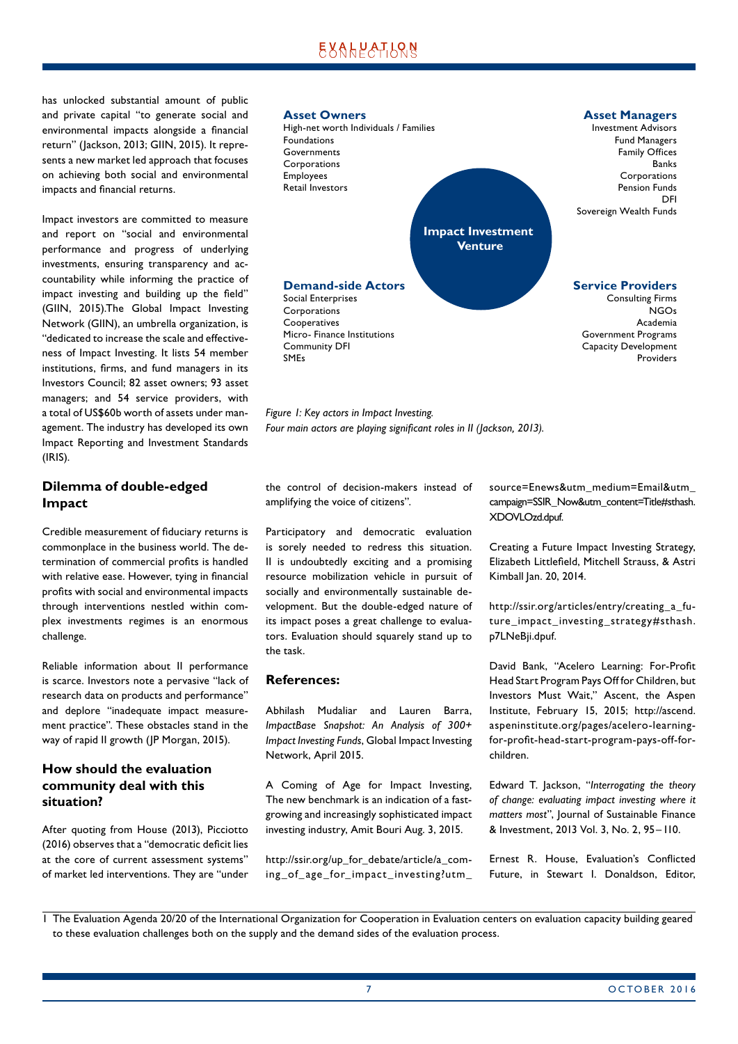has unlocked substantial amount of public and private capital "to generate social and environmental impacts alongside a financial return" (Jackson, 2013; GIIN, 2015). It represents a new market led approach that focuses on achieving both social and environmental impacts and financial returns.

Impact investors are committed to measure and report on "social and environmental performance and progress of underlying investments, ensuring transparency and accountability while informing the practice of impact investing and building up the field" (GIIN, 2015).The Global Impact Investing Network (GIIN), an umbrella organization, is "dedicated to increase the scale and effectiveness of Impact Investing. It lists 54 member institutions, firms, and fund managers in its Investors Council; 82 asset owners; 93 asset managers; and 54 service providers, with a total of US\$60b worth of assets under management. The industry has developed its own Impact Reporting and Investment Standards (IRIS).

### **Dilemma of double-edged Impact**

Credible measurement of fiduciary returns is commonplace in the business world. The determination of commercial profits is handled with relative ease. However, tying in financial profits with social and environmental impacts through interventions nestled within complex investments regimes is an enormous challenge.

Reliable information about II performance is scarce. Investors note a pervasive "lack of research data on products and performance" and deplore "inadequate impact measurement practice". These obstacles stand in the way of rapid II growth (JP Morgan, 2015).

### **How should the evaluation community deal with this situation?**

After quoting from House (2013), Picciotto (2016) observes that a "democratic deficit lies at the core of current assessment systems" of market led interventions. They are "under



*Figure 1: Key actors in Impact Investing. Four main actors are playing significant roles in II (Jackson, 2013).*

the control of decision-makers instead of amplifying the voice of citizens".

Participatory and democratic evaluation is sorely needed to redress this situation. II is undoubtedly exciting and a promising resource mobilization vehicle in pursuit of socially and environmentally sustainable development. But the double-edged nature of its impact poses a great challenge to evaluators. Evaluation should squarely stand up to the task.

#### **References:**

Abhilash Mudaliar and Lauren Barra, *ImpactBase Snapshot: An Analysis of 300+ Impact Investing Funds*, Global Impact Investing Network, April 2015.

A Coming of Age for Impact Investing, The new benchmark is an indication of a fastgrowing and increasingly sophisticated impact investing industry, [Amit Bouri](http://ssir.org/articles/entry/a_coming_of_age_for_impact_investing#bio-footer) Aug. 3, 2015.

[http://ssir.org/up\\_for\\_debate/article/a\\_com](http://ssir.org/up_for_debate/article/a_coming_of_age_for_impact_investing?utm_source=Enews&utm_medium=Email&utm_campaign=SSIR_Now&utm_content=Title#sthash.XDOVLOzd.dpuf)[ing\\_of\\_age\\_for\\_impact\\_investing?utm\\_](http://ssir.org/up_for_debate/article/a_coming_of_age_for_impact_investing?utm_source=Enews&utm_medium=Email&utm_campaign=SSIR_Now&utm_content=Title#sthash.XDOVLOzd.dpuf) [source=Enews&utm\\_medium=Email&utm\\_](http://ssir.org/up_for_debate/article/a_coming_of_age_for_impact_investing?utm_source=Enews&utm_medium=Email&utm_campaign=SSIR_Now&utm_content=Title#sthash.XDOVLOzd.dpuf) [campaign=SSIR\\_Now&utm\\_content=Title#sthash.](http://ssir.org/up_for_debate/article/a_coming_of_age_for_impact_investing?utm_source=Enews&utm_medium=Email&utm_campaign=SSIR_Now&utm_content=Title#sthash.XDOVLOzd.dpuf) [XDOVLOzd.dpuf.](http://ssir.org/up_for_debate/article/a_coming_of_age_for_impact_investing?utm_source=Enews&utm_medium=Email&utm_campaign=SSIR_Now&utm_content=Title#sthash.XDOVLOzd.dpuf)

Creating a Future Impact Investing Strategy, [Elizabeth Littlefield, Mitchell Strauss, & Astri](http://ssir.org/articles/entry/creating_a_future_impact_investing_strategy#bio-footer) [Kimball](http://ssir.org/articles/entry/creating_a_future_impact_investing_strategy#bio-footer) Jan. 20, 2014.

[http://ssir.org/articles/entry/creating\\_a\\_fu](http://ssir.org/articles/entry/creating_a_future_impact_investing_strategy#sthash.p7LNeBji.dpuf)[ture\\_impact\\_investing\\_strategy#sthash.](http://ssir.org/articles/entry/creating_a_future_impact_investing_strategy#sthash.p7LNeBji.dpuf) [p7LNeBji.dpuf](http://ssir.org/articles/entry/creating_a_future_impact_investing_strategy#sthash.p7LNeBji.dpuf).

David Bank, "Acelero Learning: For-Profit Head Start Program Pays Off for Children, but Investors Must Wait," Ascent, the Aspen Institute, February 15, 2015; [http://ascend.](http://ascend.aspeninstitute.org/pages/acelero-learning-for-profit-head-start-program-pays-off-for-children) [aspeninstitute.org/pages/acelero-learning](http://ascend.aspeninstitute.org/pages/acelero-learning-for-profit-head-start-program-pays-off-for-children)[for-profit-head-start-program-pays-off-for](http://ascend.aspeninstitute.org/pages/acelero-learning-for-profit-head-start-program-pays-off-for-children)[children.](http://ascend.aspeninstitute.org/pages/acelero-learning-for-profit-head-start-program-pays-off-for-children)

Edward T. Jackson, "*Interrogating the theory of change: evaluating impact investing where it matters most*", Journal of Sustainable Finance & Investment, 2013 Vol. 3, No. 2, 95–110.

Ernest R. House, Evaluation's Conflicted Future, in Stewart I. Donaldson, Editor,

7 OCTOBER 2016

<sup>1</sup> The Evaluation Agenda 20/20 of the International Organization for Cooperation in Evaluation centers on evaluation capacity building geared to these evaluation challenges both on the supply and the demand sides of the evaluation process.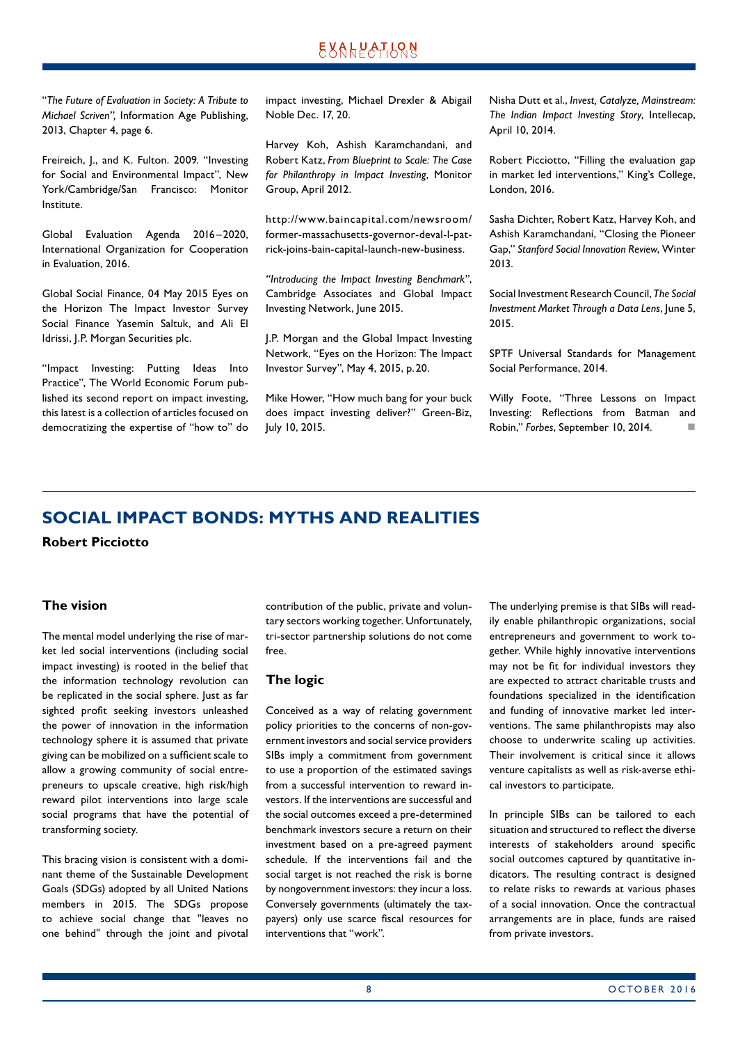<span id="page-7-0"></span>"*The Future of Evaluation in Society: A Tribute to Michael Scriven",* Information Age Publishing, 2013, Chapter 4, page 6.

Freireich, J., and K. Fulton. 2009. "Investing for Social and Environmental Impact", New York/Cambridge/San Francisco: Monitor Institute.

Global Evaluation Agenda 2016–2020, International Organization for Cooperation in Evaluation, 2016.

Global Social Finance, 04 May 2015 Eyes on the Horizon The Impact Investor Survey Social Finance Yasemin Saltuk, and Ali El Idrissi, J.P. Morgan Securities plc.

["Impact Investing: Putting Ideas Into](http://ssir.org/articles/category/impact_investing) [Practice", The World Economic Forum pub](http://ssir.org/articles/category/impact_investing)[lished its second report on impact investing,](http://ssir.org/articles/category/impact_investing) [this latest is a collection of articles focused on](http://ssir.org/articles/category/impact_investing) [democratizing the expertise of "how to" do](http://ssir.org/articles/category/impact_investing) [impact investing,](http://ssir.org/articles/category/impact_investing) [Michael Drexler & Abigail](http://ssir.org/articles/entry/impact_investing_putting_ideas_into_practice#bio-footer)  [Noble](http://ssir.org/articles/entry/impact_investing_putting_ideas_into_practice#bio-footer) Dec. 17, 20.

Harvey Koh, Ashish Karamchandani, and Robert Katz, *From Blueprint to Scale: The Case for Philanthropy in Impact Investing*, Monitor Group, April 2012.

[http://www.baincapital.com/newsroom/](http://www.baincapital.com/newsroom/former-massachusetts-governor-deval-l-patrick-joins-bain-capital-launch-new-business) [former-massachusetts-governor-deval-l-pat](http://www.baincapital.com/newsroom/former-massachusetts-governor-deval-l-patrick-joins-bain-capital-launch-new-business)[rick-joins-bain-capital-launch-new-business](http://www.baincapital.com/newsroom/former-massachusetts-governor-deval-l-patrick-joins-bain-capital-launch-new-business).

*"Introducing the Impact Investing Benchmark*", Cambridge Associates and Global Impact Investing Network, June 2015.

J.P. Morgan and the Global Impact Investing Network, "Eyes on the Horizon: The Impact Investor Survey", May 4, 2015, p.20.

Mike Hower, "How much bang for your buck does impact investing deliver?" Green-Biz, July 10, 2015.

Nisha Dutt et al., *Invest, Catalyze, Mainstream: The Indian Impact Investing Story*, Intellecap, April 10, 2014.

Robert Picciotto, "Filling the evaluation gap in market led interventions," King's College, London, 2016.

Sasha Dichter, Robert Katz, Harvey Koh, and Ashish Karamchandani, "Closing the Pioneer Gap," *Stanford Social Innovation Review*, Winter 2013.

Social Investment Research Council, *The Social Investment Market Through a Data Lens*, June 5, 2015.

SPTF Universal Standards for Management Social Performance, 2014.

Willy Foote, "Three Lessons on Impact Investing: Reflections from Batman and Robin," *Forbes*, September 10, 2014. n

### **SOCIAL IMPACT BONDS: MYTHS AND REALITIES**

**Robert Picciotto**

### **The vision**

The mental model underlying the rise of market led social interventions (including social impact investing) is rooted in the belief that the information technology revolution can be replicated in the social sphere. Just as far sighted profit seeking investors unleashed the power of innovation in the information technology sphere it is assumed that private giving can be mobilized on a sufficient scale to allow a growing community of social entrepreneurs to upscale creative, high risk/high reward pilot interventions into large scale social programs that have the potential of transforming society.

This bracing vision is consistent with a dominant theme of the Sustainable Development Goals (SDGs) adopted by all United Nations members in 2015. The SDGs propose to achieve social change that "leaves no one behind" through the joint and pivotal contribution of the public, private and voluntary sectors working together. Unfortunately, tri-sector partnership solutions do not come free.

### **The logic**

Conceived as a way of relating government policy priorities to the concerns of non-government investors and social service providers SIBs imply a commitment from government to use a proportion of the estimated savings from a successful intervention to reward investors. If the interventions are successful and the social outcomes exceed a pre-determined benchmark investors secure a return on their investment based on a pre-agreed payment schedule. If the interventions fail and the social target is not reached the risk is borne by nongovernment investors: they incur a loss. Conversely governments (ultimately the taxpayers) only use scarce fiscal resources for interventions that "work".

The underlying premise is that SIBs will readily enable philanthropic organizations, social entrepreneurs and government to work together. While highly innovative interventions may not be fit for individual investors they are expected to attract charitable trusts and foundations specialized in the identification and funding of innovative market led interventions. The same philanthropists may also choose to underwrite scaling up activities. Their involvement is critical since it allows venture capitalists as well as risk-averse ethical investors to participate.

In principle SIBs can be tailored to each situation and structured to reflect the diverse interests of stakeholders around specific social outcomes captured by quantitative indicators. The resulting contract is designed to relate risks to rewards at various phases of a social innovation. Once the contractual arrangements are in place, funds are raised from private investors.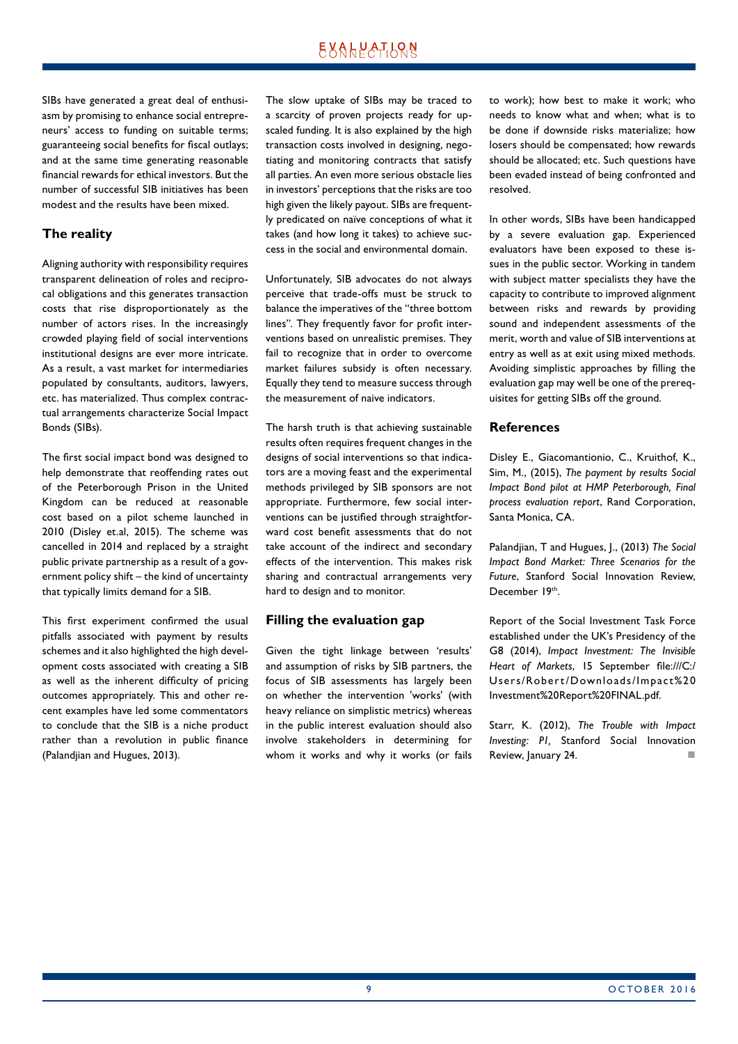SIBs have generated a great deal of enthusiasm by promising to enhance social entrepreneurs' access to funding on suitable terms; guaranteeing social benefits for fiscal outlays; and at the same time generating reasonable financial rewards for ethical investors. But the number of successful SIB initiatives has been modest and the results have been mixed.

### **The reality**

Aligning authority with responsibility requires transparent delineation of roles and reciprocal obligations and this generates transaction costs that rise disproportionately as the number of actors rises. In the increasingly crowded playing field of social interventions institutional designs are ever more intricate. As a result, a vast market for intermediaries populated by consultants, auditors, lawyers, etc. has materialized. Thus complex contractual arrangements characterize Social Impact Bonds (SIBs).

The first social impact bond was designed to help demonstrate that reoffending rates out of the Peterborough Prison in the United Kingdom can be reduced at reasonable cost based on a pilot scheme launched in 2010 (Disley et.al, 2015). The scheme was cancelled in 2014 and replaced by a straight public private partnership as a result of a government policy shift – the kind of uncertainty that typically limits demand for a SIB.

This first experiment confirmed the usual pitfalls associated with payment by results schemes and it also highlighted the high development costs associated with creating a SIB as well as the inherent difficulty of pricing outcomes appropriately. This and other recent examples have led some commentators to conclude that the SIB is a niche product rather than a revolution in public finance (Palandjian and Hugues, 2013).

The slow uptake of SIBs may be traced to a scarcity of proven projects ready for upscaled funding. It is also explained by the high transaction costs involved in designing, negotiating and monitoring contracts that satisfy all parties. An even more serious obstacle lies in investors' perceptions that the risks are too high given the likely payout. SIBs are frequently predicated on naïve conceptions of what it takes (and how long it takes) to achieve success in the social and environmental domain.

Unfortunately, SIB advocates do not always perceive that trade-offs must be struck to balance the imperatives of the "three bottom lines". They frequently favor for profit interventions based on unrealistic premises. They fail to recognize that in order to overcome market failures subsidy is often necessary. Equally they tend to measure success through the measurement of naive indicators.

The harsh truth is that achieving sustainable results often requires frequent changes in the designs of social interventions so that indicators are a moving feast and the experimental methods privileged by SIB sponsors are not appropriate. Furthermore, few social interventions can be justified through straightforward cost benefit assessments that do not take account of the indirect and secondary effects of the intervention. This makes risk sharing and contractual arrangements very hard to design and to monitor.

### **Filling the evaluation gap**

Given the tight linkage between 'results' and assumption of risks by SIB partners, the focus of SIB assessments has largely been on whether the intervention 'works' (with heavy reliance on simplistic metrics) whereas in the public interest evaluation should also involve stakeholders in determining for whom it works and why it works (or fails

to work); how best to make it work; who needs to know what and when; what is to be done if downside risks materialize; how losers should be compensated; how rewards should be allocated; etc. Such questions have been evaded instead of being confronted and resolved.

In other words, SIBs have been handicapped by a severe evaluation gap. Experienced evaluators have been exposed to these issues in the public sector. Working in tandem with subject matter specialists they have the capacity to contribute to improved alignment between risks and rewards by providing sound and independent assessments of the merit, worth and value of SIB interventions at entry as well as at exit using mixed methods. Avoiding simplistic approaches by filling the evaluation gap may well be one of the prerequisites for getting SIBs off the ground.

#### **References**

Disley E., Giacomantionio, C., Kruithof, K., Sim, M., (2015), *The payment by results Social Impact Bond pilot at HMP Peterborough, Final process evaluation report*, Rand Corporation, Santa Monica, CA.

Palandjian, T and Hugues, J., (2013) *The Social Impact Bond Market: Three Scenarios for the Future*, Stanford Social Innovation Review, December 19th.

Report of the Social Investment Task Force established under the UK's Presidency of the G8 (2014), *Impact Investment: The Invisible Heart of Markets*, 15 September file:///C:/ Users/Robert/Downloads/Impact%20 Investment%20Report%20FINAL.pdf.

Starr, K. (2012), *The Trouble with Impact Investing: P1,* Stanford Social Innovation Review, January 24.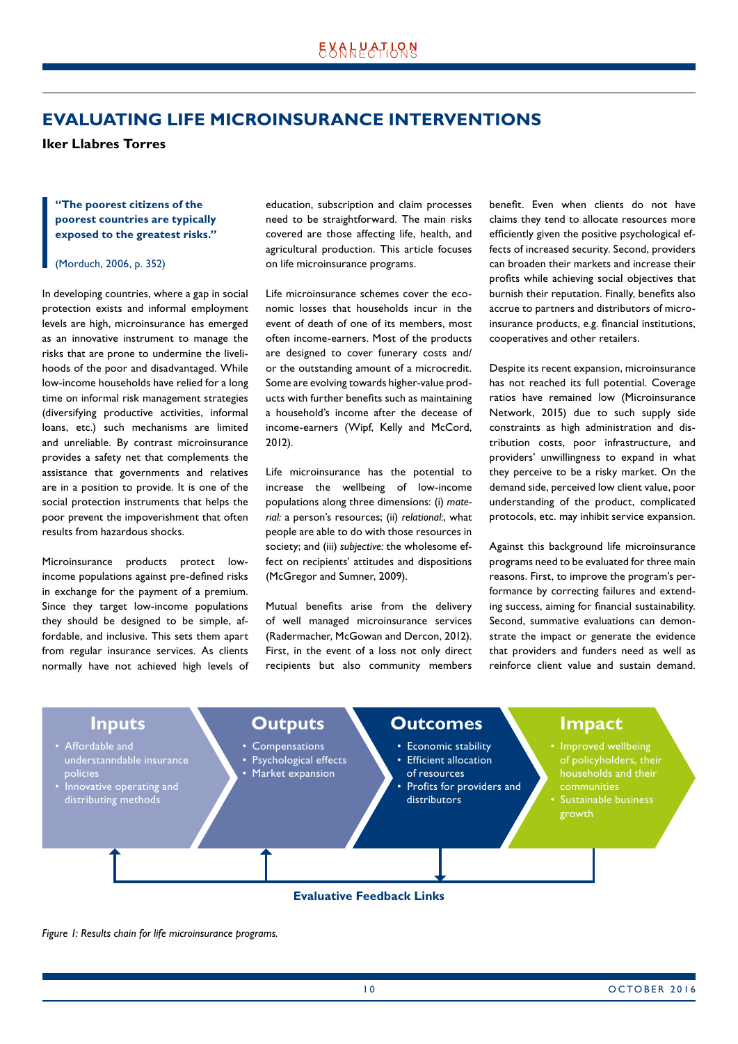# <span id="page-9-0"></span>**EVALUATING LIFE MICROINSURANCE INTERVENTIONS**

**Iker Llabres Torres**

**"The poorest citizens of the poorest countries are typically exposed to the greatest risks."**

#### (Morduch, 2006, p. 352)

In developing countries, where a gap in social protection exists and informal employment levels are high, microinsurance has emerged as an innovative instrument to manage the risks that are prone to undermine the livelihoods of the poor and disadvantaged. While low-income households have relied for a long time on informal risk management strategies (diversifying productive activities, informal loans, etc.) such mechanisms are limited and unreliable. By contrast microinsurance provides a safety net that complements the assistance that governments and relatives are in a position to provide. It is one of the social protection instruments that helps the poor prevent the impoverishment that often results from hazardous shocks.

Microinsurance products protect lowincome populations against pre-defined risks in exchange for the payment of a premium. Since they target low-income populations they should be designed to be simple, affordable, and inclusive. This sets them apart from regular insurance services. As clients normally have not achieved high levels of education, subscription and claim processes need to be straightforward. The main risks covered are those affecting life, health, and agricultural production. This article focuses on life microinsurance programs.

Life microinsurance schemes cover the economic losses that households incur in the event of death of one of its members, most often income-earners. Most of the products are designed to cover funerary costs and/ or the outstanding amount of a microcredit. Some are evolving towards higher-value products with further benefits such as maintaining a household's income after the decease of income-earners (Wipf, Kelly and McCord, 2012).

Life microinsurance has the potential to increase the wellbeing of low-income populations along three dimensions: (i) *material:* a person's resources; (ii) *relational:*, what people are able to do with those resources in society; and (iii) *subjective:* the wholesome effect on recipients' attitudes and dispositions (McGregor and Sumner, 2009).

Mutual benefits arise from the delivery of well managed microinsurance services (Radermacher, McGowan and Dercon, 2012). First, in the event of a loss not only direct recipients but also community members benefit. Even when clients do not have claims they tend to allocate resources more efficiently given the positive psychological effects of increased security. Second, providers can broaden their markets and increase their profits while achieving social objectives that burnish their reputation. Finally, benefits also accrue to partners and distributors of microinsurance products, e.g. financial institutions, cooperatives and other retailers.

Despite its recent expansion, microinsurance has not reached its full potential. Coverage ratios have remained low (Microinsurance Network, 2015) due to such supply side constraints as high administration and distribution costs, poor infrastructure, and providers' unwillingness to expand in what they perceive to be a risky market. On the demand side, perceived low client value, poor understanding of the product, complicated protocols, etc. may inhibit service expansion.

Against this background life microinsurance programs need to be evaluated for three main reasons. First, to improve the program's performance by correcting failures and extending success, aiming for financial sustainability. Second, summative evaluations can demonstrate the impact or generate the evidence that providers and funders need as well as reinforce client value and sustain demand.



**Evaluative Feedback Links**

*Figure 1: Results chain for life microinsurance programs.*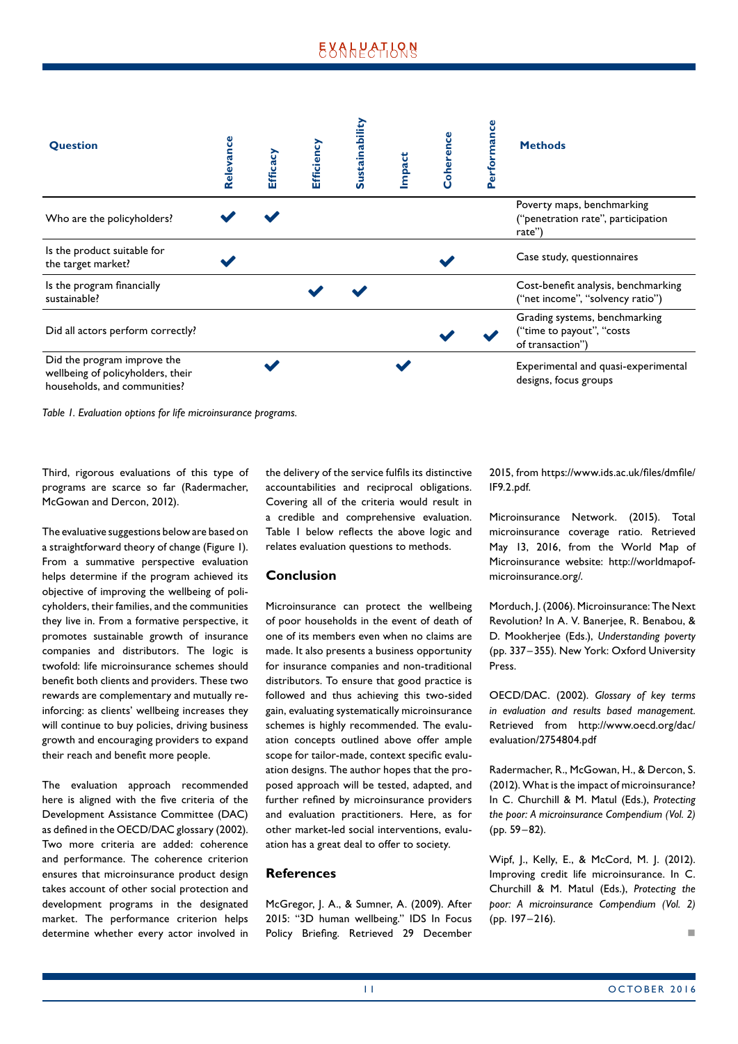| <b>Question</b>                                                                                  | Relevance | Efficacy | Efficiency | Sustainability | mpact | Coherence | <b>Methods</b>                                                                 |
|--------------------------------------------------------------------------------------------------|-----------|----------|------------|----------------|-------|-----------|--------------------------------------------------------------------------------|
| Who are the policyholders?                                                                       |           |          |            |                |       |           | Poverty maps, benchmarking<br>("penetration rate", participation<br>rate")     |
| Is the product suitable for<br>the target market?                                                |           |          |            |                |       |           | Case study, questionnaires                                                     |
| Is the program financially<br>sustainable?                                                       |           |          |            |                |       |           | Cost-benefit analysis, benchmarking<br>("net income", "solvency ratio")        |
| Did all actors perform correctly?                                                                |           |          |            |                |       |           | Grading systems, benchmarking<br>("time to payout", "costs<br>of transaction") |
| Did the program improve the<br>wellbeing of policyholders, their<br>households, and communities? |           |          |            |                |       |           | Experimental and quasi-experimental<br>designs, focus groups                   |

*Table 1. Evaluation options for life microinsurance programs.*

Third, rigorous evaluations of this type of programs are scarce so far (Radermacher, McGowan and Dercon, 2012).

The evaluative suggestions below are based on a straightforward theory of change (Figure 1). From a summative perspective evaluation helps determine if the program achieved its objective of improving the wellbeing of policyholders, their families, and the communities they live in. From a formative perspective, it promotes sustainable growth of insurance companies and distributors. The logic is twofold: life microinsurance schemes should benefit both clients and providers. These two rewards are complementary and mutually reinforcing: as clients' wellbeing increases they will continue to buy policies, driving business growth and encouraging providers to expand their reach and benefit more people.

The evaluation approach recommended here is aligned with the five criteria of the Development Assistance Committee (DAC) as defined in the OECD/DAC glossary (2002). Two more criteria are added: coherence and performance. The coherence criterion ensures that microinsurance product design takes account of other social protection and development programs in the designated market. The performance criterion helps determine whether every actor involved in the delivery of the service fulfils its distinctive accountabilities and reciprocal obligations. Covering all of the criteria would result in a credible and comprehensive evaluation. Table 1 below reflects the above logic and relates evaluation questions to methods.

#### **Conclusion**

Microinsurance can protect the wellbeing of poor households in the event of death of one of its members even when no claims are made. It also presents a business opportunity for insurance companies and non-traditional distributors. To ensure that good practice is followed and thus achieving this two-sided gain, evaluating systematically microinsurance schemes is highly recommended. The evaluation concepts outlined above offer ample scope for tailor-made, context specific evaluation designs. The author hopes that the proposed approach will be tested, adapted, and further refined by microinsurance providers and evaluation practitioners. Here, as for other market-led social interventions, evaluation has a great deal to offer to society.

#### **References**

McGregor, J. A., & Sumner, A. (2009). After 2015: "3D human wellbeing." IDS In Focus Policy Briefing. Retrieved 29 December 2015, from https://www.ids.ac.uk/files/dmfile/ IF9.2.pdf.

Microinsurance Network. (2015). Total microinsurance coverage ratio. Retrieved May 13, 2016, from the World Map of Microinsurance website: http://worldmapofmicroinsurance.org/.

Morduch, J. (2006). Microinsurance: The Next Revolution? In A. V. Banerjee, R. Benabou, & D. Mookherjee (Eds.), *Understanding poverty*  (pp. 337–355). New York: Oxford University Press.

OECD/DAC. (2002). *Glossary of key terms in evaluation and results based management.*  Retrieved from http://www.oecd.org/dac/ evaluation/2754804.pdf

Radermacher, R., McGowan, H., & Dercon, S. (2012). What is the impact of microinsurance? In C. Churchill & M. Matul (Eds.), *Protecting the poor: A microinsurance Compendium (Vol. 2)* (pp. 59–82).

Wipf, J., Kelly, E., & McCord, M. J. (2012). Improving credit life microinsurance. In C. Churchill & M. Matul (Eds.), *Protecting the poor: A microinsurance Compendium (Vol. 2)* (pp. 197–216).

n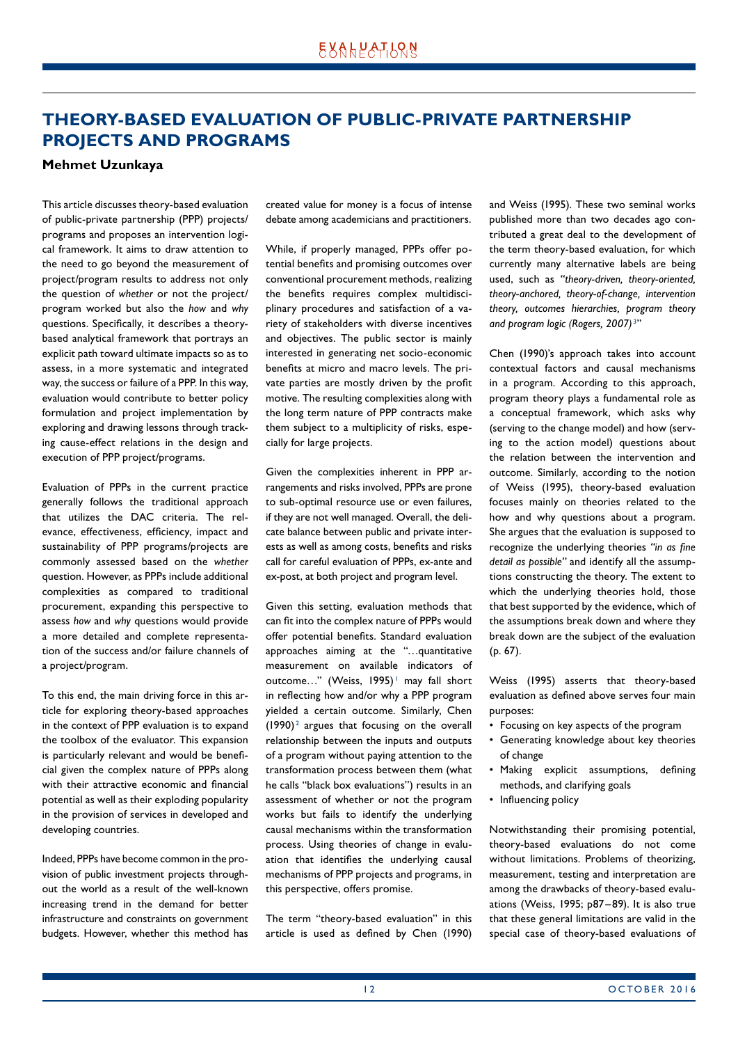# <span id="page-11-0"></span>**THEORY-BASED EVALUATION OF PUBLIC-PRIVATE PARTNERSHIP PROJECTS AND PROGRAMS**

#### **Mehmet Uzunkaya**

This article discusses theory-based evaluation of public-private partnership (PPP) projects/ programs and proposes an intervention logical framework. It aims to draw attention to the need to go beyond the measurement of project/program results to address not only the question of *whether* or not the project/ program worked but also the *how* and *why* questions. Specifically, it describes a theorybased analytical framework that portrays an explicit path toward ultimate impacts so as to assess, in a more systematic and integrated way, the success or failure of a PPP. In this way, evaluation would contribute to better policy formulation and project implementation by exploring and drawing lessons through tracking cause-effect relations in the design and execution of PPP project/programs.

Evaluation of PPPs in the current practice generally follows the traditional approach that utilizes the DAC criteria. The relevance, effectiveness, efficiency, impact and sustainability of PPP programs/projects are commonly assessed based on the *whether* question. However, as PPPs include additional complexities as compared to traditional procurement, expanding this perspective to assess *how* and *why* questions would provide a more detailed and complete representation of the success and/or failure channels of a project/program.

To this end, the main driving force in this article for exploring theory-based approaches in the context of PPP evaluation is to expand the toolbox of the evaluator. This expansion is particularly relevant and would be beneficial given the complex nature of PPPs along with their attractive economic and financial potential as well as their exploding popularity in the provision of services in developed and developing countries.

Indeed, PPPs have become common in the provision of public investment projects throughout the world as a result of the well-known increasing trend in the demand for better infrastructure and constraints on government budgets. However, whether this method has

created value for money is a focus of intense debate among academicians and practitioners.

While, if properly managed, PPPs offer potential benefits and promising outcomes over conventional procurement methods, realizing the benefits requires complex multidisciplinary procedures and satisfaction of a variety of stakeholders with diverse incentives and objectives. The public sector is mainly interested in generating net socio-economic benefits at micro and macro levels. The private parties are mostly driven by the profit motive. The resulting complexities along with the long term nature of PPP contracts make them subject to a multiplicity of risks, especially for large projects.

Given the complexities inherent in PPP arrangements and risks involved, PPPs are prone to sub-optimal resource use or even failures, if they are not well managed. Overall, the delicate balance between public and private interests as well as among costs, benefits and risks call for careful evaluation of PPPs, ex-ante and ex-post, at both project and program level.

Given this setting, evaluation methods that can fit into the complex nature of PPPs would offer potential benefits. Standard evaluation approaches aiming at the "…quantitative measurement on available indicators of outcome..." (Weiss, 1995)<sup>1</sup> may fall short in reflecting how and/or why a PPP program yielded a certain outcome. Similarly, Chen  $(1990)^2$  argues that focusing on the overall relationship between the inputs and outputs of a program without paying attention to the transformation process between them (what he calls "black box evaluations") results in an assessment of whether or not the program works but fails to identify the underlying causal mechanisms within the transformation process. Using theories of change in evaluation that identifies the underlying causal mechanisms of PPP projects and programs, in this perspective, offers promise.

The term "theory-based evaluation" in this article is used as defined by Chen (1990) and Weiss (1995). These two seminal works published more than two decades ago contributed a great deal to the development of the term theory-based evaluation, for which currently many alternative labels are being used, such as *"theory-driven, theory-oriented, theory-anchored, theory-of-change, intervention theory, outcomes hierarchies, program theory and program logic (Rogers, 2007)* <sup>3</sup> "

Chen (1990)'s approach takes into account contextual factors and causal mechanisms in a program. According to this approach, program theory plays a fundamental role as a conceptual framework, which asks why (serving to the change model) and how (serving to the action model) questions about the relation between the intervention and outcome. Similarly, according to the notion of Weiss (1995), theory-based evaluation focuses mainly on theories related to the how and why questions about a program. She argues that the evaluation is supposed to recognize the underlying theories *"in as fine detail as possible"* and identify all the assumptions constructing the theory. The extent to which the underlying theories hold, those that best supported by the evidence, which of the assumptions break down and where they break down are the subject of the evaluation (p. 67).

Weiss (1995) asserts that theory-based evaluation as defined above serves four main purposes:

- Focusing on key aspects of the program
- Generating knowledge about key theories of change
- Making explicit assumptions, defining methods, and clarifying goals
- Influencing policy

Notwithstanding their promising potential, theory-based evaluations do not come without limitations. Problems of theorizing, measurement, testing and interpretation are among the drawbacks of theory-based evaluations (Weiss, 1995; p87–89). It is also true that these general limitations are valid in the special case of theory-based evaluations of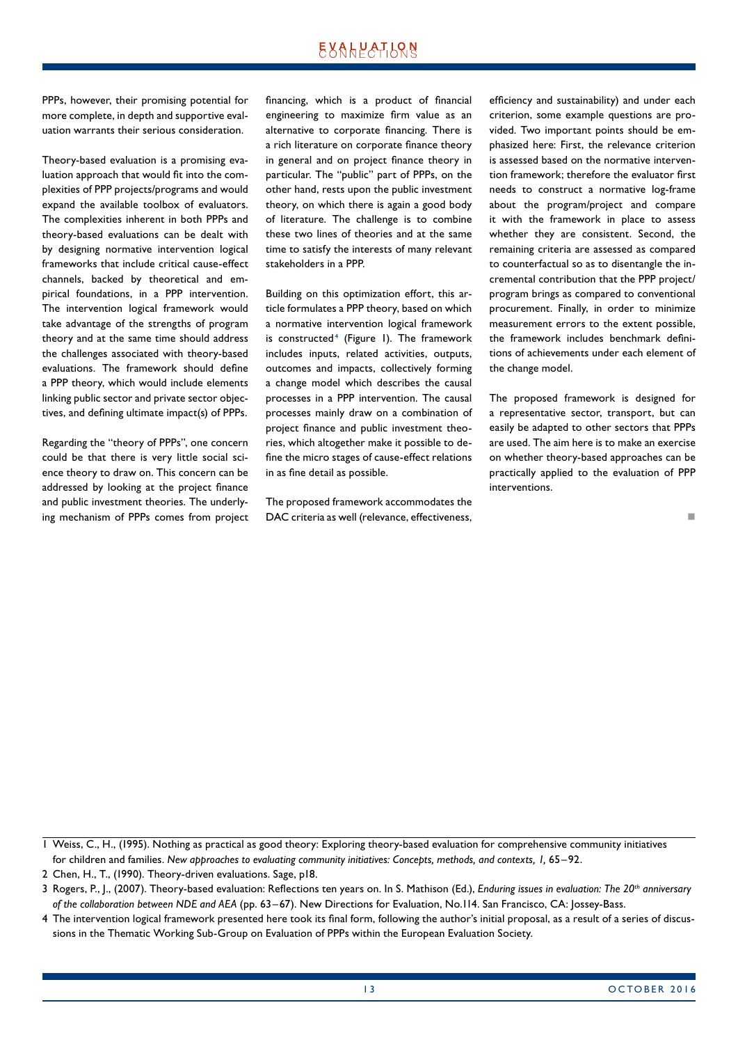PPPs, however, their promising potential for more complete, in depth and supportive evaluation warrants their serious consideration.

Theory-based evaluation is a promising evaluation approach that would fit into the complexities of PPP projects/programs and would expand the available toolbox of evaluators. The complexities inherent in both PPPs and theory-based evaluations can be dealt with by designing normative intervention logical frameworks that include critical cause-effect channels, backed by theoretical and empirical foundations, in a PPP intervention. The intervention logical framework would take advantage of the strengths of program theory and at the same time should address the challenges associated with theory-based evaluations. The framework should define a PPP theory, which would include elements linking public sector and private sector objectives, and defining ultimate impact(s) of PPPs.

Regarding the "theory of PPPs", one concern could be that there is very little social science theory to draw on. This concern can be addressed by looking at the project finance and public investment theories. The underlying mechanism of PPPs comes from project financing, which is a product of financial engineering to maximize firm value as an alternative to corporate financing. There is a rich literature on corporate finance theory in general and on project finance theory in particular. The "public" part of PPPs, on the other hand, rests upon the public investment theory, on which there is again a good body of literature. The challenge is to combine these two lines of theories and at the same time to satisfy the interests of many relevant stakeholders in a PPP.

Building on this optimization effort, this article formulates a PPP theory, based on which a normative intervention logical framework is constructed<sup>4</sup> (Figure 1). The framework includes inputs, related activities, outputs, outcomes and impacts, collectively forming a change model which describes the causal processes in a PPP intervention. The causal processes mainly draw on a combination of project finance and public investment theories, which altogether make it possible to define the micro stages of cause-effect relations in as fine detail as possible.

The proposed framework accommodates the DAC criteria as well (relevance, effectiveness, efficiency and sustainability) and under each criterion, some example questions are provided. Two important points should be emphasized here: First, the relevance criterion is assessed based on the normative intervention framework; therefore the evaluator first needs to construct a normative log-frame about the program/project and compare it with the framework in place to assess whether they are consistent. Second, the remaining criteria are assessed as compared to counterfactual so as to disentangle the incremental contribution that the PPP project/ program brings as compared to conventional procurement. Finally, in order to minimize measurement errors to the extent possible, the framework includes benchmark definitions of achievements under each element of the change model.

The proposed framework is designed for a representative sector, transport, but can easily be adapted to other sectors that PPPs are used. The aim here is to make an exercise on whether theory-based approaches can be practically applied to the evaluation of PPP interventions.

n

1 Weiss, C., H., (1995). Nothing as practical as good theory: Exploring theory-based evaluation for comprehensive community initiatives for children and families. *New approaches to evaluating community initiatives: Concepts, methods, and contexts, 1,* 65–92.

2 Chen, H., T., (1990). Theory-driven evaluations. Sage, p18.

<sup>3</sup> Rogers, P., J., (2007). Theory-based evaluation: Reflections ten years on. In S. Mathison (Ed.), *Enduring issues in evaluation: The 20th anniversary of the collaboration between NDE and AEA* (pp. 63–67). New Directions for Evaluation, No.114. San Francisco, CA: Jossey-Bass.

<sup>4</sup> The intervention logical framework presented here took its final form, following the author's initial proposal, as a result of a series of discussions in the Thematic Working Sub-Group on Evaluation of PPPs within the European Evaluation Society.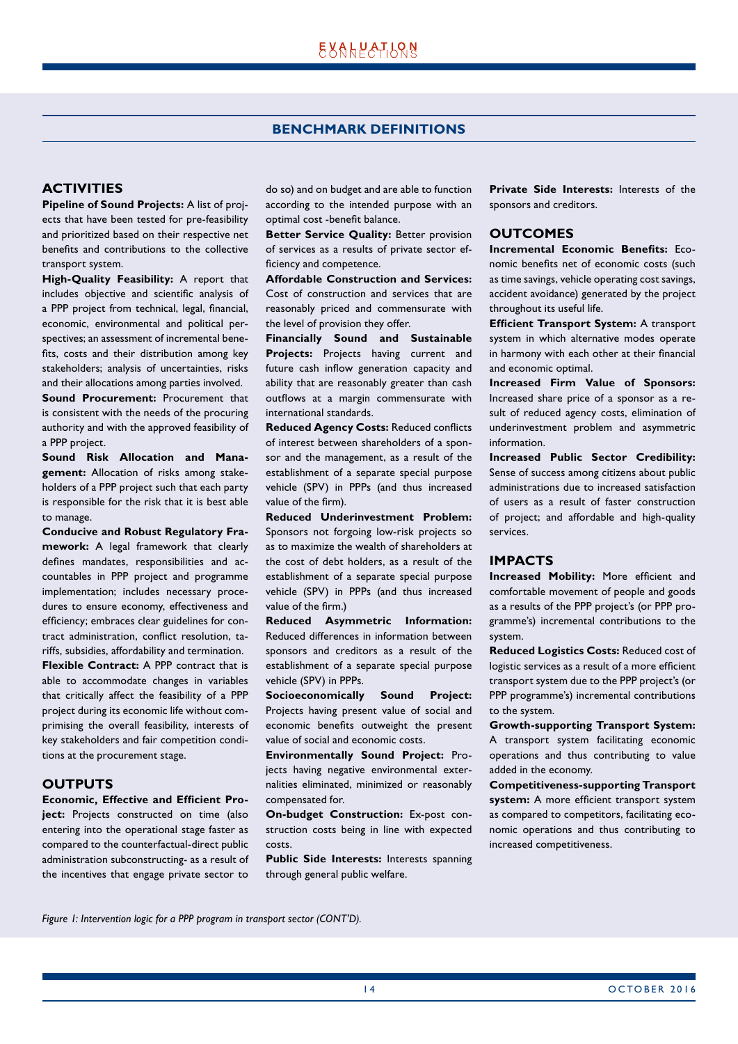### **BENCHMARK DEFINITIONS**

#### **ACTIVITIES**

**Pipeline of Sound Projects:** A list of projects that have been tested for pre-feasibility and prioritized based on their respective net benefits and contributions to the collective transport system.

**High-Quality Feasibility:** A report that includes objective and scientific analysis of a PPP project from technical, legal, financial, economic, environmental and political perspectives; an assessment of incremental benefits, costs and their distribution among key stakeholders; analysis of uncertainties, risks and their allocations among parties involved.

**Sound Procurement:** Procurement that is consistent with the needs of the procuring authority and with the approved feasibility of a PPP project.

**Sound Risk Allocation and Management:** Allocation of risks among stakeholders of a PPP project such that each party is responsible for the risk that it is best able to manage.

**Conducive and Robust Regulatory Framework:** A legal framework that clearly defines mandates, responsibilities and accountables in PPP project and programme implementation; includes necessary procedures to ensure economy, effectiveness and efficiency; embraces clear guidelines for contract administration, conflict resolution, tariffs, subsidies, affordability and termination. **Flexible Contract:** A PPP contract that is able to accommodate changes in variables that critically affect the feasibility of a PPP project during its economic life without comprimising the overall feasibility, interests of key stakeholders and fair competition conditions at the procurement stage.

### **OUTPUTS**

**Economic, Effective and Efficient Project:** Projects constructed on time (also entering into the operational stage faster as compared to the counterfactual-direct public administration subconstructing- as a result of the incentives that engage private sector to do so) and on budget and are able to function according to the intended purpose with an optimal cost -benefit balance.

**Better Service Quality:** Better provision of services as a results of private sector efficiency and competence.

**Affordable Construction and Services:** Cost of construction and services that are reasonably priced and commensurate with the level of provision they offer.

**Financially Sound and Sustainable Projects:** Projects having current and future cash inflow generation capacity and ability that are reasonably greater than cash outflows at a margin commensurate with international standards.

**Reduced Agency Costs:** Reduced conflicts of interest between shareholders of a sponsor and the management, as a result of the establishment of a separate special purpose vehicle (SPV) in PPPs (and thus increased value of the firm).

**Reduced Underinvestment Problem:**  Sponsors not forgoing low-risk projects so as to maximize the wealth of shareholders at the cost of debt holders, as a result of the establishment of a separate special purpose vehicle (SPV) in PPPs (and thus increased value of the firm.)

**Reduced Asymmetric Information:** Reduced differences in information between sponsors and creditors as a result of the establishment of a separate special purpose vehicle (SPV) in PPPs.

**Socioeconomically Sound Project:** Projects having present value of social and economic benefits outweight the present value of social and economic costs.

**Environmentally Sound Project:** Projects having negative environmental externalities eliminated, minimized or reasonably compensated for.

**On-budget Construction:** Ex-post construction costs being in line with expected costs.

**Public Side Interests:** Interests spanning through general public welfare.

**Private Side Interests:** Interests of the sponsors and creditors.

#### **OUTCOMES**

**Incremental Economic Benefits:** Economic benefits net of economic costs (such as time savings, vehicle operating cost savings, accident avoidance) generated by the project throughout its useful life.

**Efficient Transport System:** A transport system in which alternative modes operate in harmony with each other at their financial and economic optimal.

**Increased Firm Value of Sponsors:** Increased share price of a sponsor as a result of reduced agency costs, elimination of underinvestment problem and asymmetric information.

**Increased Public Sector Credibility:** Sense of success among citizens about public administrations due to increased satisfaction of users as a result of faster construction of project; and affordable and high-quality services.

#### **IMPACTS**

**Increased Mobility:** More efficient and comfortable movement of people and goods as a results of the PPP project's (or PPP programme's) incremental contributions to the system.

**Reduced Logistics Costs:** Reduced cost of logistic services as a result of a more efficient transport system due to the PPP project's (or PPP programme's) incremental contributions to the system.

**Growth-supporting Transport System:**  A transport system facilitating economic operations and thus contributing to value added in the economy.

**Competitiveness-supporting Transport system:** A more efficient transport system as compared to competitors, facilitating economic operations and thus contributing to increased competitiveness.

*Figure 1: Intervention logic for a PPP program in transport sector (CONT'D).*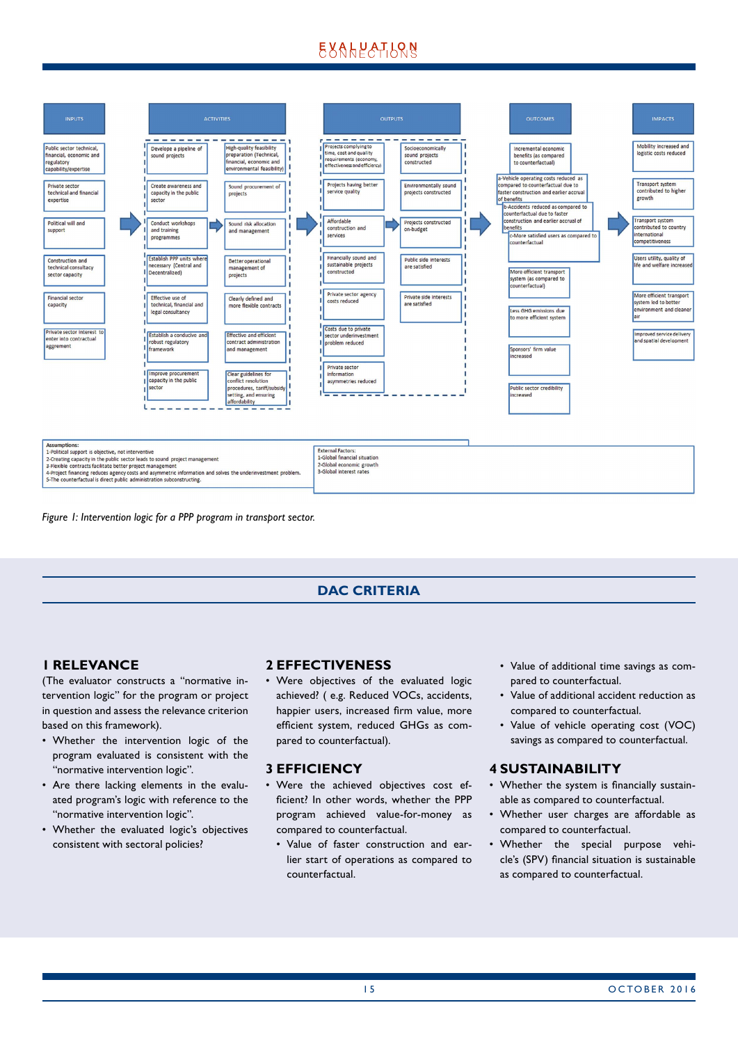

*Figure 1: Intervention logic for a PPP program in transport sector.*

### **DAC CRITERIA**

### **1 RELEVANCE**

(The evaluator constructs a "normative intervention logic" for the program or project in question and assess the relevance criterion based on this framework).

- Whether the intervention logic of the program evaluated is consistent with the "normative intervention logic".
- Are there lacking elements in the evaluated program's logic with reference to the "normative intervention logic".
- Whether the evaluated logic's objectives consistent with sectoral policies?

#### **2 EFFECTIVENESS**

• Were objectives of the evaluated logic achieved? ( e.g. Reduced VOCs, accidents, happier users, increased firm value, more efficient system, reduced GHGs as compared to counterfactual).

#### **3 EFFICIENCY**

- Were the achieved objectives cost efficient? In other words, whether the PPP program achieved value-for-money as compared to counterfactual.
- Value of faster construction and earlier start of operations as compared to counterfactual.
- Value of additional time savings as compared to counterfactual.
- Value of additional accident reduction as compared to counterfactual.
- Value of vehicle operating cost (VOC) savings as compared to counterfactual.

#### **4 SUSTAINABILITY**

- Whether the system is financially sustainable as compared to counterfactual.
- Whether user charges are affordable as compared to counterfactual.
- Whether the special purpose vehicle's (SPV) financial situation is sustainable as compared to counterfactual.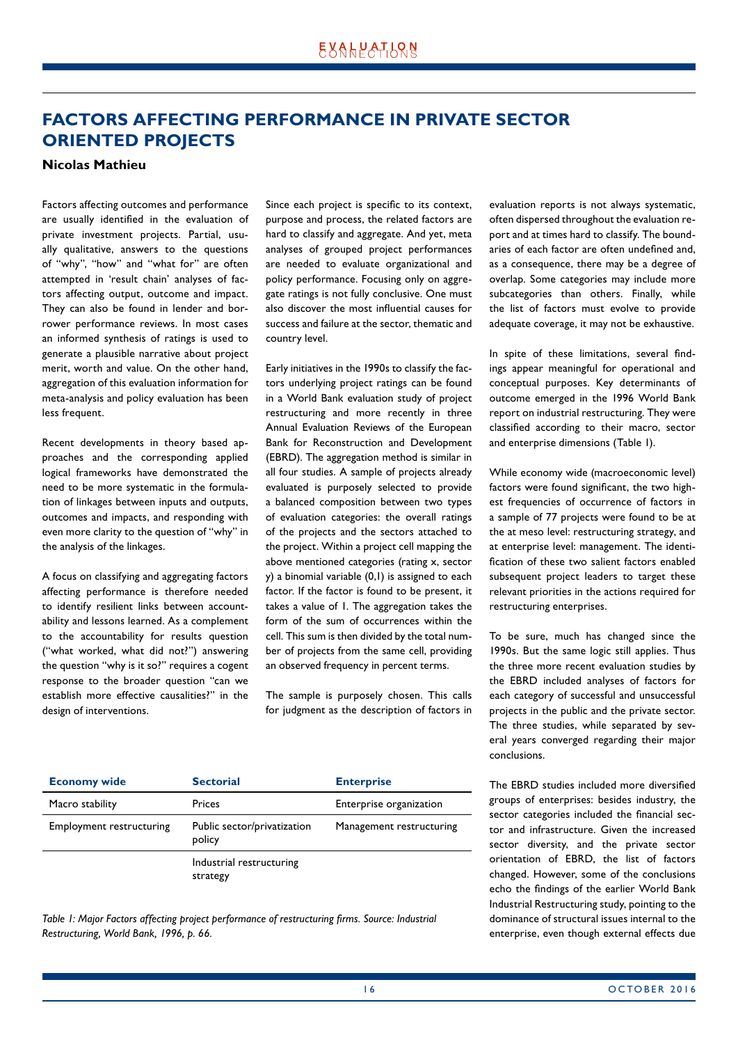# <span id="page-15-0"></span>**FACTORS AFFECTING PERFORMANCE IN PRIVATE SECTOR ORIENTED PROJECTS**

### **Nicolas Mathieu**

Factors affecting outcomes and performance are usually identified in the evaluation of private investment projects. Partial, usually qualitative, answers to the questions of "why", "how" and "what for" are often attempted in 'result chain' analyses of factors affecting output, outcome and impact. They can also be found in lender and borrower performance reviews. In most cases an informed synthesis of ratings is used to generate a plausible narrative about project merit, worth and value. On the other hand, aggregation of this evaluation information for meta-analysis and policy evaluation has been less frequent.

Recent developments in theory based approaches and the corresponding applied logical frameworks have demonstrated the need to be more systematic in the formulation of linkages between inputs and outputs, outcomes and impacts, and responding with even more clarity to the question of "why" in the analysis of the linkages.

A focus on classifying and aggregating factors affecting performance is therefore needed to identify resilient links between accountability and lessons learned. As a complement to the accountability for results question ("what worked, what did not?") answering the question "why is it so?" requires a cogent response to the broader question "can we establish more effective causalities?" in the design of interventions.

Since each project is specific to its context, purpose and process, the related factors are hard to classify and aggregate. And yet, meta analyses of grouped project performances are needed to evaluate organizational and policy performance. Focusing only on aggregate ratings is not fully conclusive. One must also discover the most influential causes for success and failure at the sector, thematic and country level.

Early initiatives in the 1990s to classify the factors underlying project ratings can be found in a World Bank evaluation study of project restructuring and more recently in three Annual Evaluation Reviews of the European Bank for Reconstruction and Development (EBRD). The aggregation method is similar in all four studies. A sample of projects already evaluated is purposely selected to provide a balanced composition between two types of evaluation categories: the overall ratings of the projects and the sectors attached to the project. Within a project cell mapping the above mentioned categories (rating x, sector y) a binomial variable (0,1) is assigned to each factor. If the factor is found to be present, it takes a value of 1. The aggregation takes the form of the sum of occurrences within the cell. This sum is then divided by the total number of projects from the same cell, providing an observed frequency in percent terms.

The sample is purposely chosen. This calls for judgment as the description of factors in evaluation reports is not always systematic, often dispersed throughout the evaluation report and at times hard to classify. The boundaries of each factor are often undefined and, as a consequence, there may be a degree of overlap. Some categories may include more subcategories than others. Finally, while the list of factors must evolve to provide adequate coverage, it may not be exhaustive.

In spite of these limitations, several findings appear meaningful for operational and conceptual purposes. Key determinants of outcome emerged in the 1996 World Bank report on industrial restructuring. They were classified according to their macro, sector and enterprise dimensions (Table 1).

While economy wide (macroeconomic level) factors were found significant, the two highest frequencies of occurrence of factors in a sample of 77 projects were found to be at the at meso level: restructuring strategy, and at enterprise level: management. The identification of these two salient factors enabled subsequent project leaders to target these relevant priorities in the actions required for restructuring enterprises.

To be sure, much has changed since the 1990s. But the same logic still applies. Thus the three more recent evaluation studies by the EBRD included analyses of factors for each category of successful and unsuccessful projects in the public and the private sector. The three studies, while separated by several years converged regarding their major conclusions.

The EBRD studies included more diversified groups of enterprises: besides industry, the sector categories included the financial sector and infrastructure. Given the increased sector diversity, and the private sector orientation of EBRD, the list of factors changed. However, some of the conclusions echo the findings of the earlier World Bank Industrial Restructuring study, pointing to the dominance of structural issues internal to the enterprise, even though external effects due

| <b>Economy wide</b>             | <b>Sectorial</b>                      | <b>Enterprise</b>        |
|---------------------------------|---------------------------------------|--------------------------|
| Macro stability                 | Prices                                | Enterprise organization  |
| <b>Employment restructuring</b> | Public sector/privatization<br>policy | Management restructuring |
|                                 | Industrial restructuring<br>strategy  |                          |

*Table 1: Major Factors affecting project performance of restructuring firms. Source: Industrial Restructuring, World Bank, 1996, p. 66.*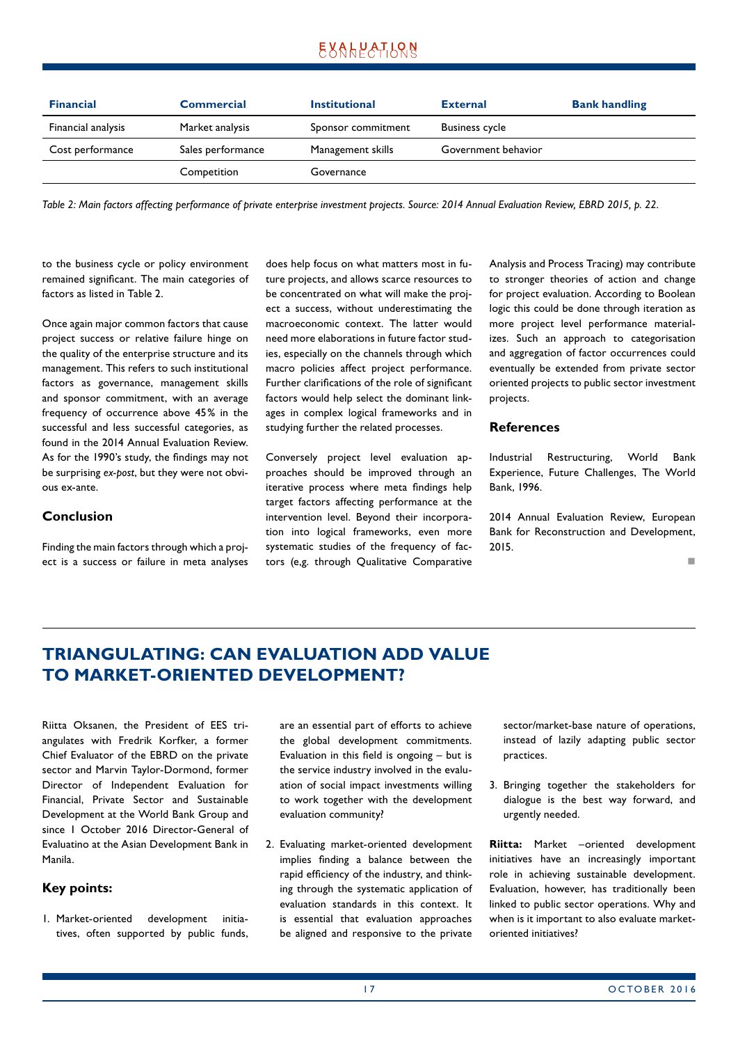<span id="page-16-0"></span>

| <b>Financial</b>   | <b>Commercial</b> | <b>Institutional</b> | <b>External</b>       | <b>Bank handling</b> |
|--------------------|-------------------|----------------------|-----------------------|----------------------|
| Financial analysis | Market analysis   | Sponsor commitment   | <b>Business cycle</b> |                      |
| Cost performance   | Sales performance | Management skills    | Government behavior   |                      |
|                    | Competition       | Governance           |                       |                      |

*Table 2: Main factors affecting performance of private enterprise investment projects. Source: 2014 Annual Evaluation Review, EBRD 2015, p. 22.*

to the business cycle or policy environment remained significant. The main categories of factors as listed in Table 2.

Once again major common factors that cause project success or relative failure hinge on the quality of the enterprise structure and its management. This refers to such institutional factors as governance, management skills and sponsor commitment, with an average frequency of occurrence above 45% in the successful and less successful categories, as found in the 2014 Annual Evaluation Review. As for the 1990's study, the findings may not be surprising *ex-post*, but they were not obvious ex-ante.

### **Conclusion**

Finding the main factors through which a project is a success or failure in meta analyses does help focus on what matters most in future projects, and allows scarce resources to be concentrated on what will make the project a success, without underestimating the macroeconomic context. The latter would need more elaborations in future factor studies, especially on the channels through which macro policies affect project performance. Further clarifications of the role of significant factors would help select the dominant linkages in complex logical frameworks and in studying further the related processes.

Conversely project level evaluation approaches should be improved through an iterative process where meta findings help target factors affecting performance at the intervention level. Beyond their incorporation into logical frameworks, even more systematic studies of the frequency of factors (e,g. through Qualitative Comparative Analysis and Process Tracing) may contribute to stronger theories of action and change for project evaluation. According to Boolean logic this could be done through iteration as more project level performance materializes. Such an approach to categorisation and aggregation of factor occurrences could eventually be extended from private sector oriented projects to public sector investment projects.

#### **References**

Industrial Restructuring, World Bank Experience, Future Challenges, The World Bank, 1996.

2014 Annual Evaluation Review, European Bank for Reconstruction and Development, 2015.

n

# **TRIANGULATING: CAN EVALUATION ADD VALUE TO MARKET-ORIENTED DEVELOPMENT?**

Riitta Oksanen, the President of EES triangulates with Fredrik Korfker, a former Chief Evaluator of the EBRD on the private sector and Marvin Taylor-Dormond, former Director of Independent Evaluation for Financial, Private Sector and Sustainable Development at the World Bank Group and since 1 October 2016 Director-General of Evaluatino at the Asian Development Bank in Manila.

### **Key points:**

1. Market-oriented development initiatives, often supported by public funds, are an essential part of efforts to achieve the global development commitments. Evaluation in this field is ongoing – but is the service industry involved in the evaluation of social impact investments willing to work together with the development evaluation community?

2. Evaluating market-oriented development implies finding a balance between the rapid efficiency of the industry, and thinking through the systematic application of evaluation standards in this context. It is essential that evaluation approaches be aligned and responsive to the private

sector/market-base nature of operations, instead of lazily adapting public sector practices.

3. Bringing together the stakeholders for dialogue is the best way forward, and urgently needed.

**Riitta:** Market –oriented development initiatives have an increasingly important role in achieving sustainable development. Evaluation, however, has traditionally been linked to public sector operations. Why and when is it important to also evaluate marketoriented initiatives?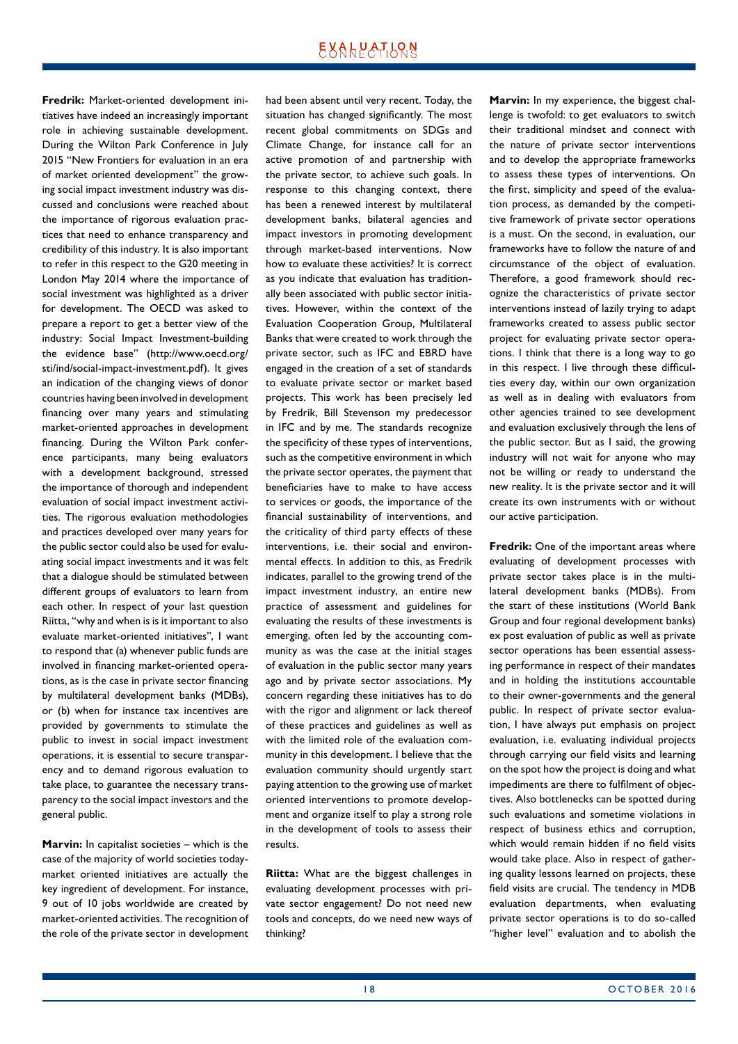**Fredrik:** Market-oriented development initiatives have indeed an increasingly important role in achieving sustainable development. During the Wilton Park Conference in July 2015 "New Frontiers for evaluation in an era of market oriented development" the growing social impact investment industry was discussed and conclusions were reached about the importance of rigorous evaluation practices that need to enhance transparency and credibility of this industry. It is also important to refer in this respect to the G20 meeting in London May 2014 where the importance of social investment was highlighted as a driver for development. The OECD was asked to prepare a report to get a better view of the industry: Social Impact Investment-building the evidence base" (http://www.oecd.org/ sti/ind/social-impact-investment.pdf). It gives an indication of the changing views of donor countries having been involved in development financing over many years and stimulating market-oriented approaches in development financing. During the Wilton Park conference participants, many being evaluators with a development background, stressed the importance of thorough and independent evaluation of social impact investment activities. The rigorous evaluation methodologies and practices developed over many years for the public sector could also be used for evaluating social impact investments and it was felt that a dialogue should be stimulated between different groups of evaluators to learn from each other. In respect of your last question Riitta, "why and when is is it important to also evaluate market-oriented initiatives", I want to respond that (a) whenever public funds are involved in financing market-oriented operations, as is the case in private sector financing by multilateral development banks (MDBs), or (b) when for instance tax incentives are provided by governments to stimulate the public to invest in social impact investment operations, it is essential to secure transparency and to demand rigorous evaluation to take place, to guarantee the necessary transparency to the social impact investors and the general public.

**Marvin:** In capitalist societies – which is the case of the majority of world societies todaymarket oriented initiatives are actually the key ingredient of development. For instance, 9 out of 10 jobs worldwide are created by market-oriented activities. The recognition of the role of the private sector in development had been absent until very recent. Today, the situation has changed significantly. The most recent global commitments on SDGs and Climate Change, for instance call for an active promotion of and partnership with the private sector, to achieve such goals. In response to this changing context, there has been a renewed interest by multilateral development banks, bilateral agencies and impact investors in promoting development through market-based interventions. Now how to evaluate these activities? It is correct as you indicate that evaluation has traditionally been associated with public sector initiatives. However, within the context of the Evaluation Cooperation Group, Multilateral Banks that were created to work through the private sector, such as IFC and EBRD have engaged in the creation of a set of standards to evaluate private sector or market based projects. This work has been precisely led by Fredrik, Bill Stevenson my predecessor in IFC and by me. The standards recognize the specificity of these types of interventions, such as the competitive environment in which the private sector operates, the payment that beneficiaries have to make to have access to services or goods, the importance of the financial sustainability of interventions, and the criticality of third party effects of these interventions, i.e. their social and environmental effects. In addition to this, as Fredrik indicates, parallel to the growing trend of the impact investment industry, an entire new practice of assessment and guidelines for evaluating the results of these investments is emerging, often led by the accounting community as was the case at the initial stages of evaluation in the public sector many years ago and by private sector associations. My concern regarding these initiatives has to do with the rigor and alignment or lack thereof of these practices and guidelines as well as with the limited role of the evaluation community in this development. I believe that the evaluation community should urgently start paying attention to the growing use of market oriented interventions to promote development and organize itself to play a strong role in the development of tools to assess their results.

**Riitta:** What are the biggest challenges in evaluating development processes with private sector engagement? Do not need new tools and concepts, do we need new ways of thinking?

**Marvin:** In my experience, the biggest challenge is twofold: to get evaluators to switch their traditional mindset and connect with the nature of private sector interventions and to develop the appropriate frameworks to assess these types of interventions. On the first, simplicity and speed of the evaluation process, as demanded by the competitive framework of private sector operations is a must. On the second, in evaluation, our frameworks have to follow the nature of and circumstance of the object of evaluation. Therefore, a good framework should recognize the characteristics of private sector interventions instead of lazily trying to adapt frameworks created to assess public sector project for evaluating private sector operations. I think that there is a long way to go in this respect. I live through these difficulties every day, within our own organization as well as in dealing with evaluators from other agencies trained to see development and evaluation exclusively through the lens of the public sector. But as I said, the growing industry will not wait for anyone who may not be willing or ready to understand the new reality. It is the private sector and it will create its own instruments with or without our active participation.

**Fredrik:** One of the important areas where evaluating of development processes with private sector takes place is in the multilateral development banks (MDBs). From the start of these institutions (World Bank Group and four regional development banks) ex post evaluation of public as well as private sector operations has been essential assessing performance in respect of their mandates and in holding the institutions accountable to their owner-governments and the general public. In respect of private sector evaluation, I have always put emphasis on project evaluation, i.e. evaluating individual projects through carrying our field visits and learning on the spot how the project is doing and what impediments are there to fulfilment of objectives. Also bottlenecks can be spotted during such evaluations and sometime violations in respect of business ethics and corruption, which would remain hidden if no field visits would take place. Also in respect of gathering quality lessons learned on projects, these field visits are crucial. The tendency in MDB evaluation departments, when evaluating private sector operations is to do so-called "higher level" evaluation and to abolish the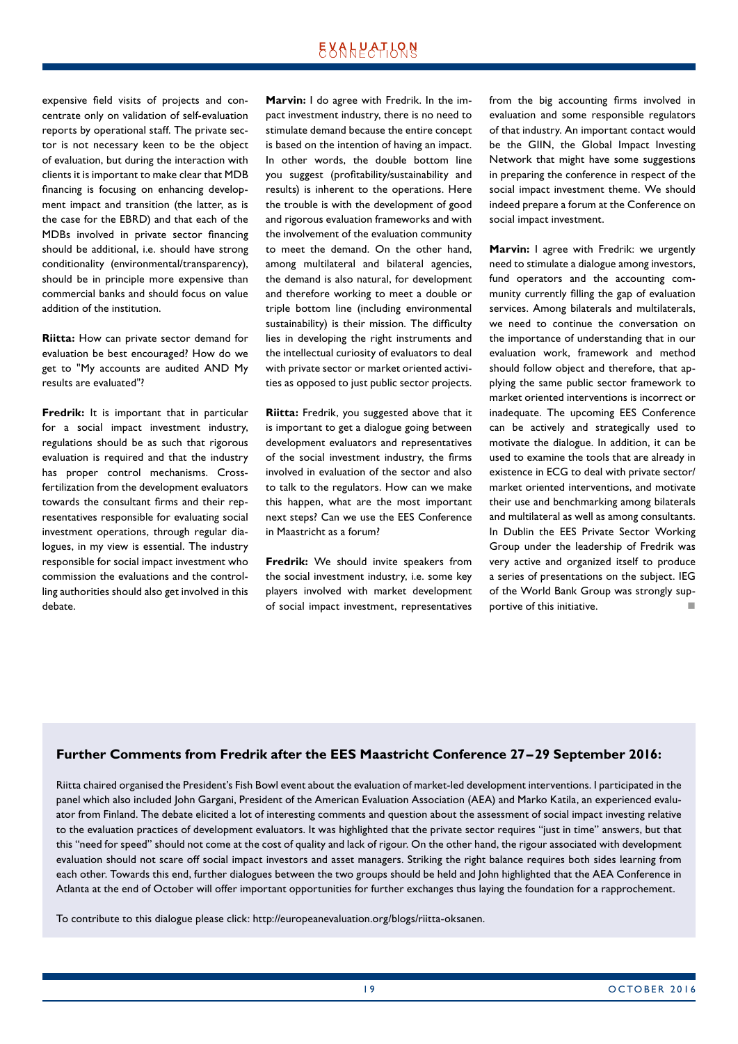expensive field visits of projects and concentrate only on validation of self-evaluation reports by operational staff. The private sector is not necessary keen to be the object of evaluation, but during the interaction with clients it is important to make clear that MDB financing is focusing on enhancing development impact and transition (the latter, as is the case for the EBRD) and that each of the MDBs involved in private sector financing should be additional, i.e. should have strong conditionality (environmental/transparency), should be in principle more expensive than commercial banks and should focus on value addition of the institution.

**Riitta:** How can private sector demand for evaluation be best encouraged? How do we get to "My accounts are audited AND My results are evaluated"?

**Fredrik:** It is important that in particular for a social impact investment industry, regulations should be as such that rigorous evaluation is required and that the industry has proper control mechanisms. Crossfertilization from the development evaluators towards the consultant firms and their representatives responsible for evaluating social investment operations, through regular dialogues, in my view is essential. The industry responsible for social impact investment who commission the evaluations and the controlling authorities should also get involved in this debate.

**Marvin:** I do agree with Fredrik. In the impact investment industry, there is no need to stimulate demand because the entire concept is based on the intention of having an impact. In other words, the double bottom line you suggest (profitability/sustainability and results) is inherent to the operations. Here the trouble is with the development of good and rigorous evaluation frameworks and with the involvement of the evaluation community to meet the demand. On the other hand, among multilateral and bilateral agencies, the demand is also natural, for development and therefore working to meet a double or triple bottom line (including environmental sustainability) is their mission. The difficulty lies in developing the right instruments and the intellectual curiosity of evaluators to deal with private sector or market oriented activities as opposed to just public sector projects.

**Riitta:** Fredrik, you suggested above that it is important to get a dialogue going between development evaluators and representatives of the social investment industry, the firms involved in evaluation of the sector and also to talk to the regulators. How can we make this happen, what are the most important next steps? Can we use the EES Conference in Maastricht as a forum?

**Fredrik:** We should invite speakers from the social investment industry, i.e. some key players involved with market development of social impact investment, representatives

from the big accounting firms involved in evaluation and some responsible regulators of that industry. An important contact would be the GIIN, the Global Impact Investing Network that might have some suggestions in preparing the conference in respect of the social impact investment theme. We should indeed prepare a forum at the Conference on social impact investment.

**Marvin:** I agree with Fredrik: we urgently need to stimulate a dialogue among investors, fund operators and the accounting community currently filling the gap of evaluation services. Among bilaterals and multilaterals, we need to continue the conversation on the importance of understanding that in our evaluation work, framework and method should follow object and therefore, that applying the same public sector framework to market oriented interventions is incorrect or inadequate. The upcoming EES Conference can be actively and strategically used to motivate the dialogue. In addition, it can be used to examine the tools that are already in existence in ECG to deal with private sector/ market oriented interventions, and motivate their use and benchmarking among bilaterals and multilateral as well as among consultants. In Dublin the EES Private Sector Working Group under the leadership of Fredrik was very active and organized itself to produce a series of presentations on the subject. IEG of the World Bank Group was strongly supportive of this initiative.

### **Further Comments from Fredrik after the EES Maastricht Conference 27–29 September 2016:**

Riitta chaired organised the President's Fish Bowl event about the evaluation of market-led development interventions. I participated in the panel which also included John Gargani, President of the American Evaluation Association (AEA) and Marko Katila, an experienced evaluator from Finland. The debate elicited a lot of interesting comments and question about the assessment of social impact investing relative to the evaluation practices of development evaluators. It was highlighted that the private sector requires "just in time" answers, but that this "need for speed" should not come at the cost of quality and lack of rigour. On the other hand, the rigour associated with development evaluation should not scare off social impact investors and asset managers. Striking the right balance requires both sides learning from each other. Towards this end, further dialogues between the two groups should be held and John highlighted that the AEA Conference in Atlanta at the end of October will offer important opportunities for further exchanges thus laying the foundation for a rapprochement.

To contribute to this dialogue please click: http://europeanevaluation.org/blogs/riitta-oksanen.